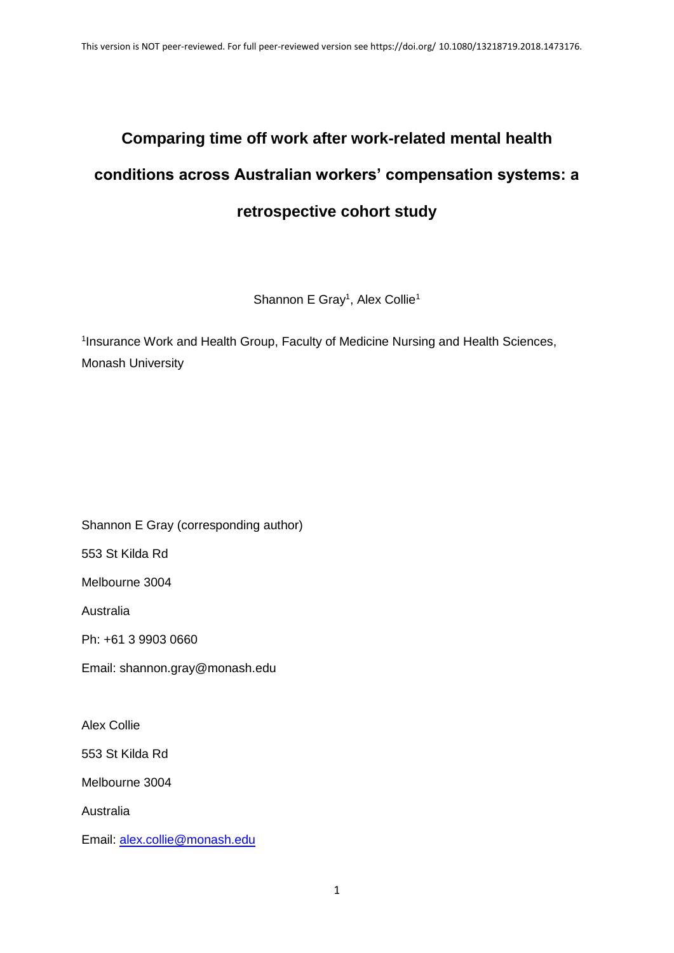# **Comparing time off work after work-related mental health conditions across Australian workers' compensation systems: a retrospective cohort study**

Shannon E Gray<sup>1</sup>, Alex Collie<sup>1</sup>

<sup>1</sup>Insurance Work and Health Group, Faculty of Medicine Nursing and Health Sciences, Monash University

Shannon E Gray (corresponding author)

553 St Kilda Rd

Melbourne 3004

Australia

Ph: +61 3 9903 0660

Email: shannon.gray@monash.edu

Alex Collie

553 St Kilda Rd

Melbourne 3004

Australia

Email: [alex.collie@monash.edu](mailto:alex.collie@monash.edu)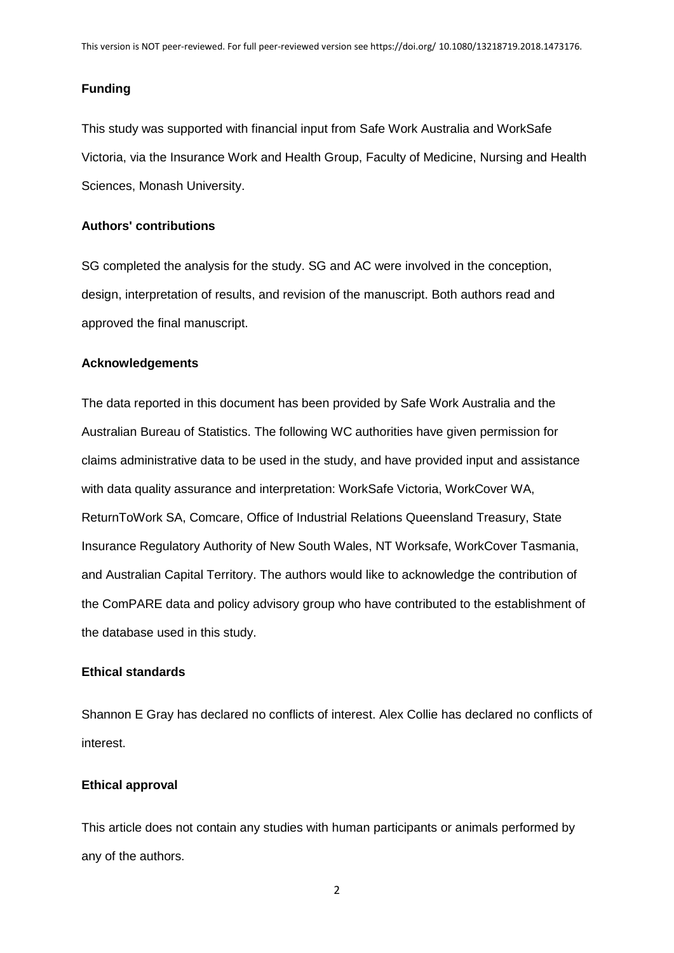## **Funding**

This study was supported with financial input from Safe Work Australia and WorkSafe Victoria, via the Insurance Work and Health Group, Faculty of Medicine, Nursing and Health Sciences, Monash University.

## **Authors' contributions**

SG completed the analysis for the study. SG and AC were involved in the conception, design, interpretation of results, and revision of the manuscript. Both authors read and approved the final manuscript.

## **Acknowledgements**

The data reported in this document has been provided by Safe Work Australia and the Australian Bureau of Statistics. The following WC authorities have given permission for claims administrative data to be used in the study, and have provided input and assistance with data quality assurance and interpretation: WorkSafe Victoria, WorkCover WA, ReturnToWork SA, Comcare, Office of Industrial Relations Queensland Treasury, State Insurance Regulatory Authority of New South Wales, NT Worksafe, WorkCover Tasmania, and Australian Capital Territory. The authors would like to acknowledge the contribution of the ComPARE data and policy advisory group who have contributed to the establishment of the database used in this study.

## **Ethical standards**

Shannon E Gray has declared no conflicts of interest. Alex Collie has declared no conflicts of interest.

## **Ethical approval**

This article does not contain any studies with human participants or animals performed by any of the authors.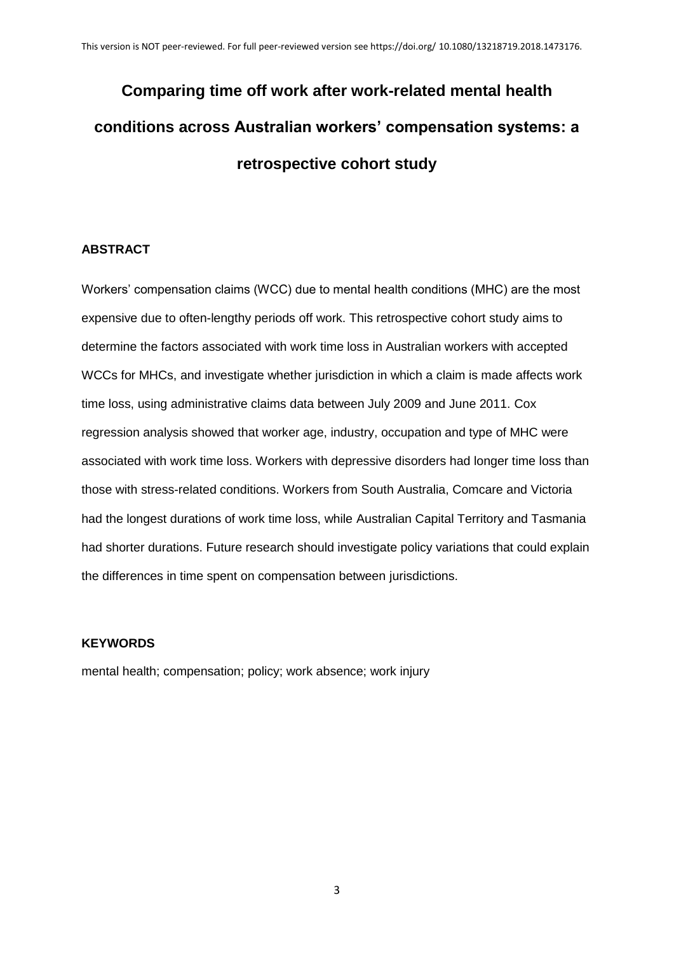# **Comparing time off work after work-related mental health conditions across Australian workers' compensation systems: a retrospective cohort study**

# **ABSTRACT**

Workers' compensation claims (WCC) due to mental health conditions (MHC) are the most expensive due to often-lengthy periods off work. This retrospective cohort study aims to determine the factors associated with work time loss in Australian workers with accepted WCCs for MHCs, and investigate whether jurisdiction in which a claim is made affects work time loss, using administrative claims data between July 2009 and June 2011. Cox regression analysis showed that worker age, industry, occupation and type of MHC were associated with work time loss. Workers with depressive disorders had longer time loss than those with stress-related conditions. Workers from South Australia, Comcare and Victoria had the longest durations of work time loss, while Australian Capital Territory and Tasmania had shorter durations. Future research should investigate policy variations that could explain the differences in time spent on compensation between jurisdictions.

# **KEYWORDS**

mental health; compensation; policy; work absence; work injury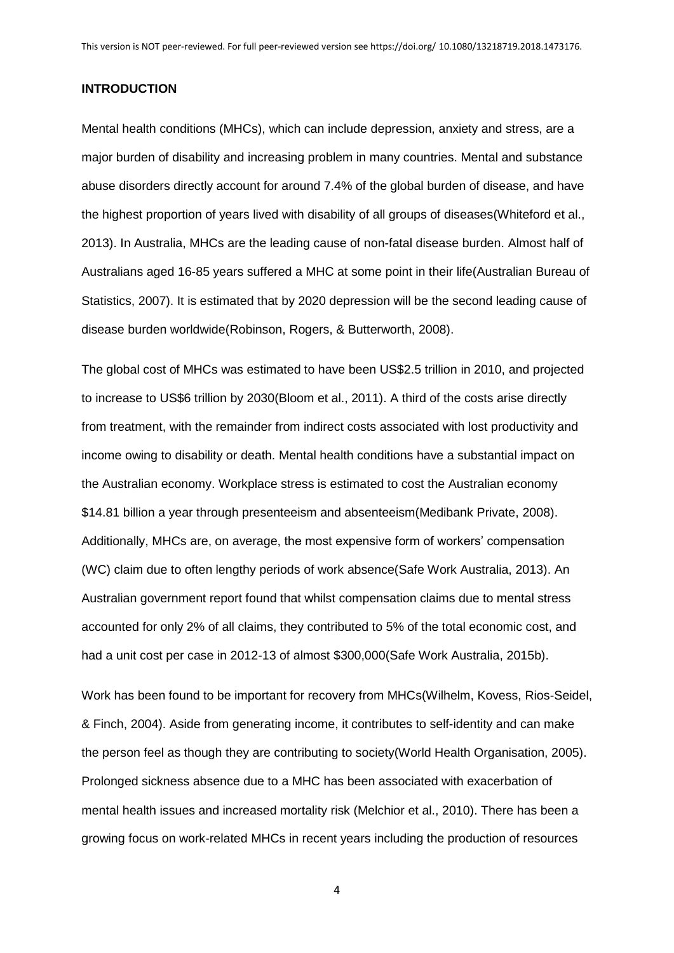#### **INTRODUCTION**

Mental health conditions (MHCs), which can include depression, anxiety and stress, are a major burden of disability and increasing problem in many countries. Mental and substance abuse disorders directly account for around 7.4% of the global burden of disease, and have the highest proportion of years lived with disability of all groups of diseases(Whiteford et al., 2013). In Australia, MHCs are the leading cause of non-fatal disease burden. Almost half of Australians aged 16-85 years suffered a MHC at some point in their life(Australian Bureau of Statistics, 2007). It is estimated that by 2020 depression will be the second leading cause of disease burden worldwide(Robinson, Rogers, & Butterworth, 2008).

The global cost of MHCs was estimated to have been US\$2.5 trillion in 2010, and projected to increase to US\$6 trillion by 2030(Bloom et al., 2011). A third of the costs arise directly from treatment, with the remainder from indirect costs associated with lost productivity and income owing to disability or death. Mental health conditions have a substantial impact on the Australian economy. Workplace stress is estimated to cost the Australian economy \$14.81 billion a year through presenteeism and absenteeism(Medibank Private, 2008). Additionally, MHCs are, on average, the most expensive form of workers' compensation (WC) claim due to often lengthy periods of work absence(Safe Work Australia, 2013). An Australian government report found that whilst compensation claims due to mental stress accounted for only 2% of all claims, they contributed to 5% of the total economic cost, and had a unit cost per case in 2012-13 of almost \$300,000(Safe Work Australia, 2015b).

Work has been found to be important for recovery from MHCs(Wilhelm, Kovess, Rios-Seidel, & Finch, 2004). Aside from generating income, it contributes to self-identity and can make the person feel as though they are contributing to society(World Health Organisation, 2005). Prolonged sickness absence due to a MHC has been associated with exacerbation of mental health issues and increased mortality risk (Melchior et al., 2010). There has been a growing focus on work-related MHCs in recent years including the production of resources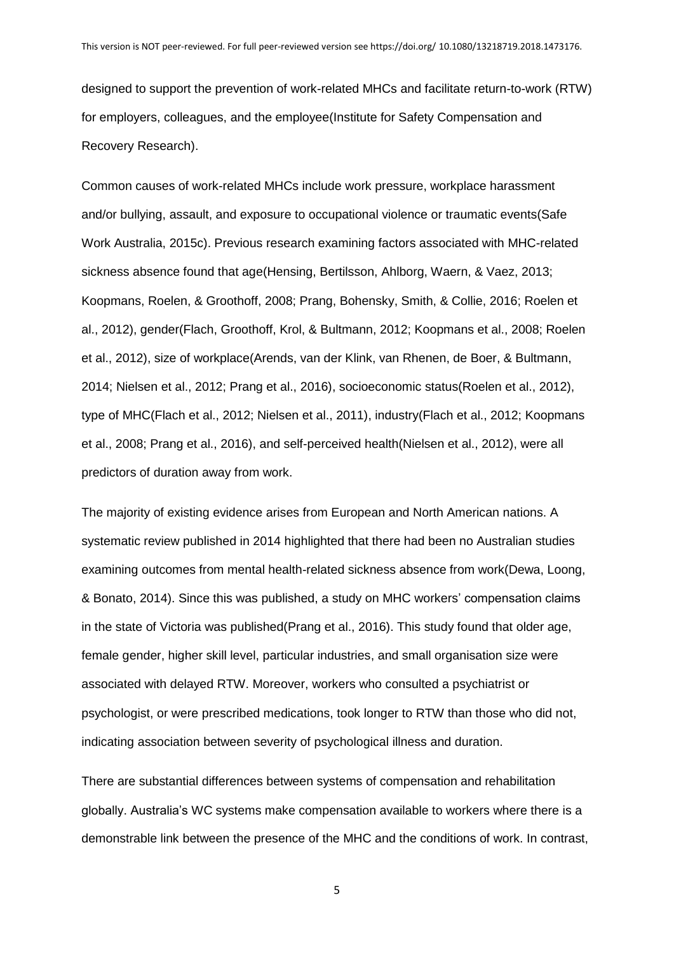designed to support the prevention of work-related MHCs and facilitate return-to-work (RTW) for employers, colleagues, and the employee(Institute for Safety Compensation and Recovery Research).

Common causes of work-related MHCs include work pressure, workplace harassment and/or bullying, assault, and exposure to occupational violence or traumatic events(Safe Work Australia, 2015c). Previous research examining factors associated with MHC-related sickness absence found that age(Hensing, Bertilsson, Ahlborg, Waern, & Vaez, 2013; Koopmans, Roelen, & Groothoff, 2008; Prang, Bohensky, Smith, & Collie, 2016; Roelen et al., 2012), gender(Flach, Groothoff, Krol, & Bultmann, 2012; Koopmans et al., 2008; Roelen et al., 2012), size of workplace(Arends, van der Klink, van Rhenen, de Boer, & Bultmann, 2014; Nielsen et al., 2012; Prang et al., 2016), socioeconomic status(Roelen et al., 2012), type of MHC(Flach et al., 2012; Nielsen et al., 2011), industry(Flach et al., 2012; Koopmans et al., 2008; Prang et al., 2016), and self-perceived health(Nielsen et al., 2012), were all predictors of duration away from work.

The majority of existing evidence arises from European and North American nations. A systematic review published in 2014 highlighted that there had been no Australian studies examining outcomes from mental health-related sickness absence from work(Dewa, Loong, & Bonato, 2014). Since this was published, a study on MHC workers' compensation claims in the state of Victoria was published(Prang et al., 2016). This study found that older age, female gender, higher skill level, particular industries, and small organisation size were associated with delayed RTW. Moreover, workers who consulted a psychiatrist or psychologist, or were prescribed medications, took longer to RTW than those who did not, indicating association between severity of psychological illness and duration.

There are substantial differences between systems of compensation and rehabilitation globally. Australia's WC systems make compensation available to workers where there is a demonstrable link between the presence of the MHC and the conditions of work. In contrast,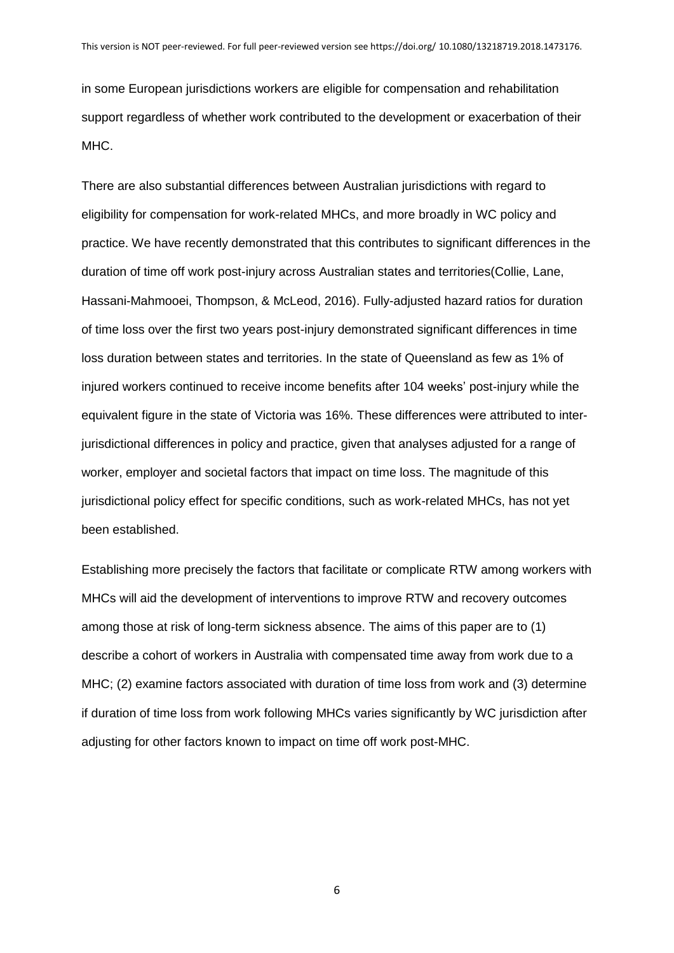in some European jurisdictions workers are eligible for compensation and rehabilitation support regardless of whether work contributed to the development or exacerbation of their MHC.

There are also substantial differences between Australian jurisdictions with regard to eligibility for compensation for work-related MHCs, and more broadly in WC policy and practice. We have recently demonstrated that this contributes to significant differences in the duration of time off work post-injury across Australian states and territories(Collie, Lane, Hassani-Mahmooei, Thompson, & McLeod, 2016). Fully-adjusted hazard ratios for duration of time loss over the first two years post-injury demonstrated significant differences in time loss duration between states and territories. In the state of Queensland as few as 1% of injured workers continued to receive income benefits after 104 weeks' post-injury while the equivalent figure in the state of Victoria was 16%. These differences were attributed to interjurisdictional differences in policy and practice, given that analyses adjusted for a range of worker, employer and societal factors that impact on time loss. The magnitude of this jurisdictional policy effect for specific conditions, such as work-related MHCs, has not yet been established.

Establishing more precisely the factors that facilitate or complicate RTW among workers with MHCs will aid the development of interventions to improve RTW and recovery outcomes among those at risk of long-term sickness absence. The aims of this paper are to (1) describe a cohort of workers in Australia with compensated time away from work due to a MHC; (2) examine factors associated with duration of time loss from work and (3) determine if duration of time loss from work following MHCs varies significantly by WC jurisdiction after adjusting for other factors known to impact on time off work post-MHC.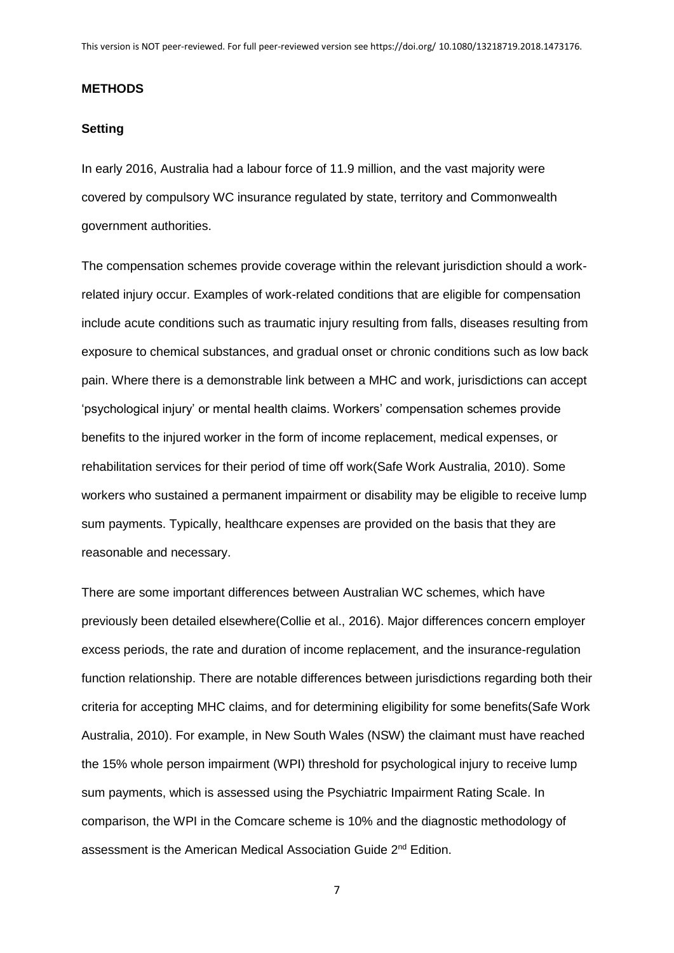#### **METHODS**

#### **Setting**

In early 2016, Australia had a labour force of 11.9 million, and the vast majority were covered by compulsory WC insurance regulated by state, territory and Commonwealth government authorities.

The compensation schemes provide coverage within the relevant jurisdiction should a workrelated injury occur. Examples of work-related conditions that are eligible for compensation include acute conditions such as traumatic injury resulting from falls, diseases resulting from exposure to chemical substances, and gradual onset or chronic conditions such as low back pain. Where there is a demonstrable link between a MHC and work, jurisdictions can accept 'psychological injury' or mental health claims. Workers' compensation schemes provide benefits to the injured worker in the form of income replacement, medical expenses, or rehabilitation services for their period of time off work(Safe Work Australia, 2010). Some workers who sustained a permanent impairment or disability may be eligible to receive lump sum payments. Typically, healthcare expenses are provided on the basis that they are reasonable and necessary.

There are some important differences between Australian WC schemes, which have previously been detailed elsewhere(Collie et al., 2016). Major differences concern employer excess periods, the rate and duration of income replacement, and the insurance-regulation function relationship. There are notable differences between jurisdictions regarding both their criteria for accepting MHC claims, and for determining eligibility for some benefits(Safe Work Australia, 2010). For example, in New South Wales (NSW) the claimant must have reached the 15% whole person impairment (WPI) threshold for psychological injury to receive lump sum payments, which is assessed using the Psychiatric Impairment Rating Scale. In comparison, the WPI in the Comcare scheme is 10% and the diagnostic methodology of assessment is the American Medical Association Guide 2<sup>nd</sup> Edition.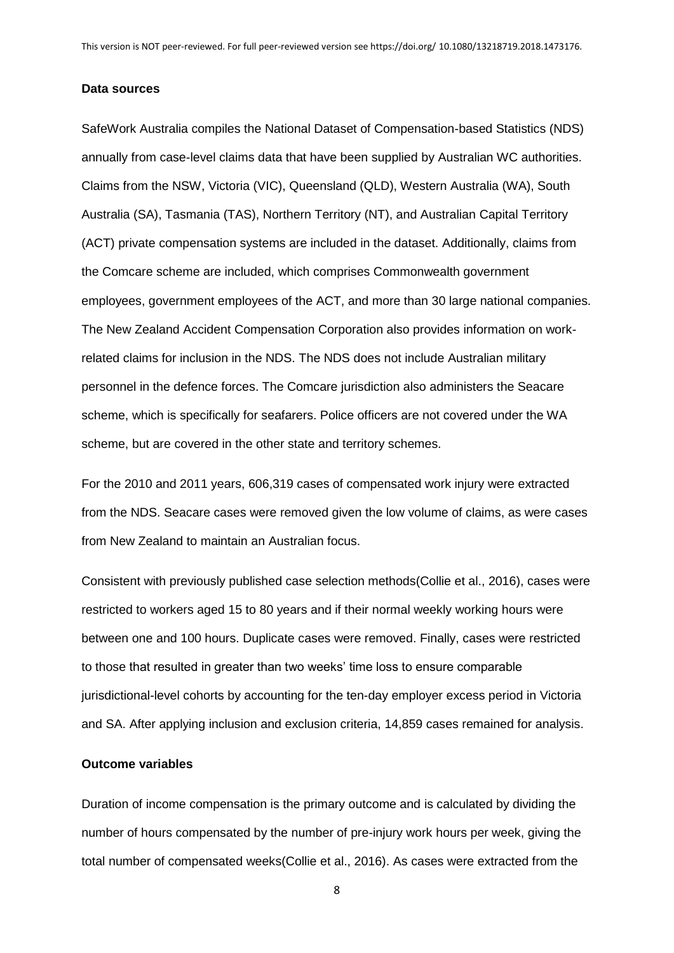#### **Data sources**

SafeWork Australia compiles the National Dataset of Compensation-based Statistics (NDS) annually from case-level claims data that have been supplied by Australian WC authorities. Claims from the NSW, Victoria (VIC), Queensland (QLD), Western Australia (WA), South Australia (SA), Tasmania (TAS), Northern Territory (NT), and Australian Capital Territory (ACT) private compensation systems are included in the dataset. Additionally, claims from the Comcare scheme are included, which comprises Commonwealth government employees, government employees of the ACT, and more than 30 large national companies. The New Zealand Accident Compensation Corporation also provides information on workrelated claims for inclusion in the NDS. The NDS does not include Australian military personnel in the defence forces. The Comcare jurisdiction also administers the Seacare scheme, which is specifically for seafarers. Police officers are not covered under the WA scheme, but are covered in the other state and territory schemes.

For the 2010 and 2011 years, 606,319 cases of compensated work injury were extracted from the NDS. Seacare cases were removed given the low volume of claims, as were cases from New Zealand to maintain an Australian focus.

Consistent with previously published case selection methods(Collie et al., 2016), cases were restricted to workers aged 15 to 80 years and if their normal weekly working hours were between one and 100 hours. Duplicate cases were removed. Finally, cases were restricted to those that resulted in greater than two weeks' time loss to ensure comparable jurisdictional-level cohorts by accounting for the ten-day employer excess period in Victoria and SA. After applying inclusion and exclusion criteria, 14,859 cases remained for analysis.

## **Outcome variables**

Duration of income compensation is the primary outcome and is calculated by dividing the number of hours compensated by the number of pre-injury work hours per week, giving the total number of compensated weeks(Collie et al., 2016). As cases were extracted from the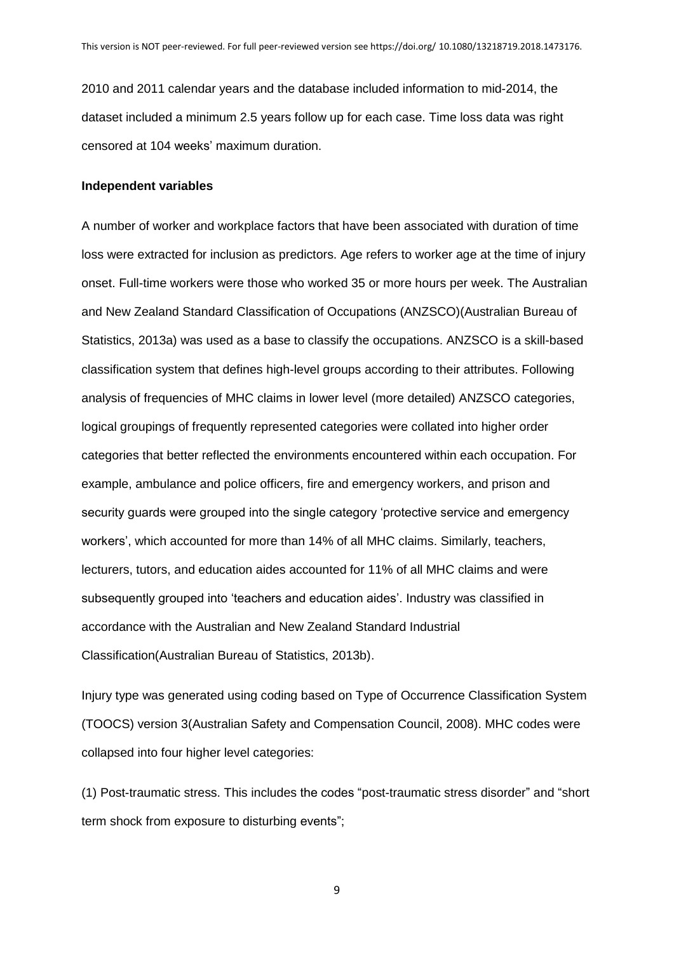2010 and 2011 calendar years and the database included information to mid-2014, the dataset included a minimum 2.5 years follow up for each case. Time loss data was right censored at 104 weeks' maximum duration.

#### **Independent variables**

A number of worker and workplace factors that have been associated with duration of time loss were extracted for inclusion as predictors. Age refers to worker age at the time of injury onset. Full-time workers were those who worked 35 or more hours per week. The Australian and New Zealand Standard Classification of Occupations (ANZSCO)(Australian Bureau of Statistics, 2013a) was used as a base to classify the occupations. ANZSCO is a skill-based classification system that defines high-level groups according to their attributes. Following analysis of frequencies of MHC claims in lower level (more detailed) ANZSCO categories, logical groupings of frequently represented categories were collated into higher order categories that better reflected the environments encountered within each occupation. For example, ambulance and police officers, fire and emergency workers, and prison and security guards were grouped into the single category 'protective service and emergency workers', which accounted for more than 14% of all MHC claims. Similarly, teachers, lecturers, tutors, and education aides accounted for 11% of all MHC claims and were subsequently grouped into 'teachers and education aides'. Industry was classified in accordance with the Australian and New Zealand Standard Industrial Classification(Australian Bureau of Statistics, 2013b).

Injury type was generated using coding based on Type of Occurrence Classification System (TOOCS) version 3(Australian Safety and Compensation Council, 2008). MHC codes were collapsed into four higher level categories:

(1) Post-traumatic stress. This includes the codes "post-traumatic stress disorder" and "short term shock from exposure to disturbing events";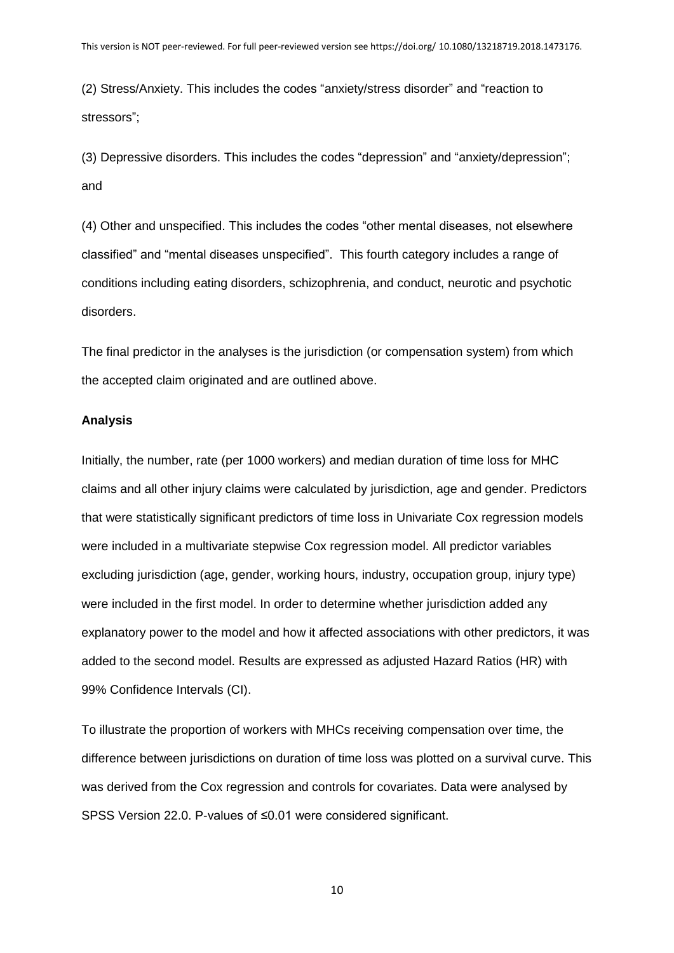(2) Stress/Anxiety. This includes the codes "anxiety/stress disorder" and "reaction to stressors";

(3) Depressive disorders. This includes the codes "depression" and "anxiety/depression"; and

(4) Other and unspecified. This includes the codes "other mental diseases, not elsewhere classified" and "mental diseases unspecified". This fourth category includes a range of conditions including eating disorders, schizophrenia, and conduct, neurotic and psychotic disorders.

The final predictor in the analyses is the jurisdiction (or compensation system) from which the accepted claim originated and are outlined above.

## **Analysis**

Initially, the number, rate (per 1000 workers) and median duration of time loss for MHC claims and all other injury claims were calculated by jurisdiction, age and gender. Predictors that were statistically significant predictors of time loss in Univariate Cox regression models were included in a multivariate stepwise Cox regression model. All predictor variables excluding jurisdiction (age, gender, working hours, industry, occupation group, injury type) were included in the first model. In order to determine whether jurisdiction added any explanatory power to the model and how it affected associations with other predictors, it was added to the second model. Results are expressed as adjusted Hazard Ratios (HR) with 99% Confidence Intervals (CI).

To illustrate the proportion of workers with MHCs receiving compensation over time, the difference between jurisdictions on duration of time loss was plotted on a survival curve. This was derived from the Cox regression and controls for covariates. Data were analysed by SPSS Version 22.0. P-values of ≤0.01 were considered significant.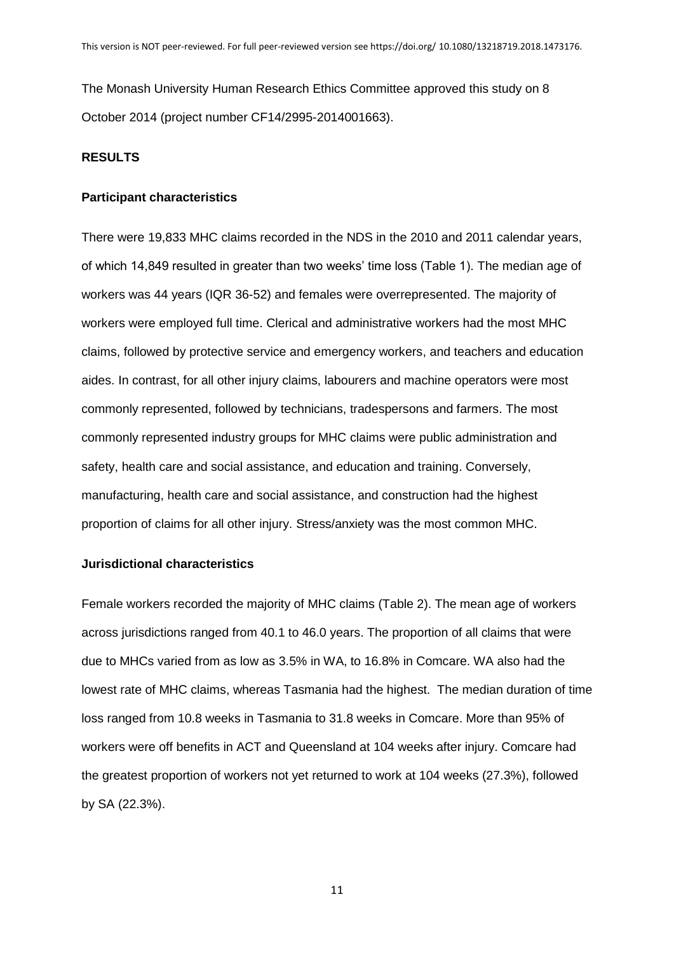The Monash University Human Research Ethics Committee approved this study on 8 October 2014 (project number CF14/2995-2014001663).

## **RESULTS**

## **Participant characteristics**

There were 19,833 MHC claims recorded in the NDS in the 2010 and 2011 calendar years, of which 14,849 resulted in greater than two weeks' time loss (Table 1). The median age of workers was 44 years (IQR 36-52) and females were overrepresented. The majority of workers were employed full time. Clerical and administrative workers had the most MHC claims, followed by protective service and emergency workers, and teachers and education aides. In contrast, for all other injury claims, labourers and machine operators were most commonly represented, followed by technicians, tradespersons and farmers. The most commonly represented industry groups for MHC claims were public administration and safety, health care and social assistance, and education and training. Conversely, manufacturing, health care and social assistance, and construction had the highest proportion of claims for all other injury. Stress/anxiety was the most common MHC.

## **Jurisdictional characteristics**

Female workers recorded the majority of MHC claims (Table 2). The mean age of workers across jurisdictions ranged from 40.1 to 46.0 years. The proportion of all claims that were due to MHCs varied from as low as 3.5% in WA, to 16.8% in Comcare. WA also had the lowest rate of MHC claims, whereas Tasmania had the highest. The median duration of time loss ranged from 10.8 weeks in Tasmania to 31.8 weeks in Comcare. More than 95% of workers were off benefits in ACT and Queensland at 104 weeks after injury. Comcare had the greatest proportion of workers not yet returned to work at 104 weeks (27.3%), followed by SA (22.3%).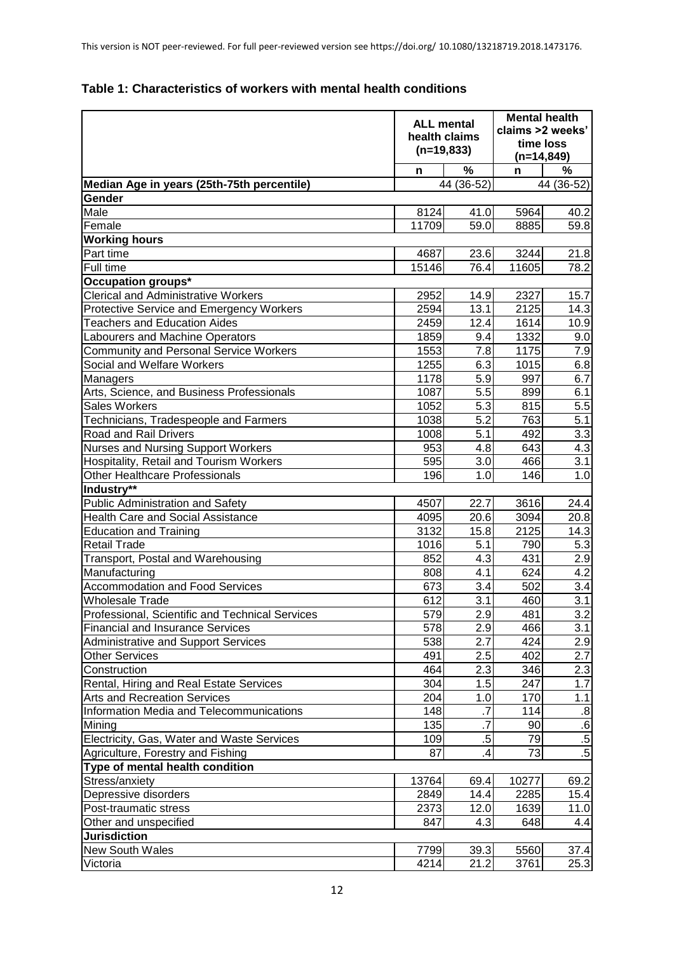|                                                                                            | <b>ALL mental</b><br>health claims<br>$(n=19,833)$ |                  | <b>Mental health</b><br>claims >2 weeks'<br>time loss<br>$(n=14, 849)$ |                  |  |
|--------------------------------------------------------------------------------------------|----------------------------------------------------|------------------|------------------------------------------------------------------------|------------------|--|
|                                                                                            | n                                                  | %                | n                                                                      | %                |  |
| Median Age in years (25th-75th percentile)                                                 |                                                    | 44 (36-52)       |                                                                        | 44 (36-52)       |  |
| Gender                                                                                     |                                                    |                  |                                                                        |                  |  |
| Male                                                                                       | 8124                                               | 41.0             | 5964                                                                   | 40.2             |  |
| Female                                                                                     | 11709                                              | 59.0             | 8885                                                                   | 59.8             |  |
| <b>Working hours</b>                                                                       |                                                    |                  |                                                                        |                  |  |
| Part time                                                                                  | 4687                                               | 23.6             | 3244                                                                   | 21.8             |  |
| Full time                                                                                  | 15146                                              | 76.4             | 11605                                                                  | 78.2             |  |
| Occupation groups*                                                                         |                                                    |                  |                                                                        |                  |  |
| <b>Clerical and Administrative Workers</b>                                                 | 2952                                               | 14.9             | 2327                                                                   | 15.7             |  |
| Protective Service and Emergency Workers                                                   | 2594                                               | 13.1             | 2125                                                                   | 14.3             |  |
| <b>Teachers and Education Aides</b>                                                        | 2459                                               | 12.4             | 1614                                                                   | 10.9             |  |
| Labourers and Machine Operators                                                            | 1859                                               | 9.4              | 1332                                                                   | 9.0              |  |
| <b>Community and Personal Service Workers</b>                                              | 1553                                               | 7.8              | 1175                                                                   | 7.9              |  |
| Social and Welfare Workers                                                                 | 1255                                               | 6.3              | 1015                                                                   | 6.8              |  |
| Managers                                                                                   | 1178                                               | 5.9              | 997                                                                    | 6.7              |  |
| Arts, Science, and Business Professionals                                                  | 1087                                               | 5.5              | 899                                                                    | 6.1              |  |
| <b>Sales Workers</b>                                                                       | 1052                                               | 5.3              | 815                                                                    | 5.5              |  |
| Technicians, Tradespeople and Farmers                                                      | 1038                                               | 5.2              | 763                                                                    | 5.1              |  |
| Road and Rail Drivers                                                                      | 1008                                               | 5.1              | 492                                                                    | 3.3              |  |
| <b>Nurses and Nursing Support Workers</b>                                                  | 953                                                | 4.8              | 643                                                                    | 4.3              |  |
| Hospitality, Retail and Tourism Workers                                                    | 595                                                | 3.0              | 466                                                                    | 3.1              |  |
| Other Healthcare Professionals                                                             | 196                                                | 1.0              | 146                                                                    | 1.0              |  |
| Industry**                                                                                 |                                                    |                  |                                                                        |                  |  |
| <b>Public Administration and Safety</b><br><b>Health Care and Social Assistance</b>        | 4507<br>4095                                       | 22.7<br>20.6     | 3616<br>3094                                                           | 24.4<br>20.8     |  |
|                                                                                            | 3132                                               |                  | 2125                                                                   |                  |  |
| <b>Education and Training</b><br><b>Retail Trade</b>                                       | 1016                                               | 15.8<br>5.1      | 790                                                                    | 14.3<br>5.3      |  |
| Transport, Postal and Warehousing                                                          | 852                                                | 4.3              | 431                                                                    | 2.9              |  |
| Manufacturing                                                                              | 808                                                | 4.1              | 624                                                                    | 4.2              |  |
| <b>Accommodation and Food Services</b>                                                     | 673                                                | 3.4              | 502                                                                    | 3.4              |  |
| <b>Wholesale Trade</b>                                                                     | 612                                                | $\overline{3.1}$ | 460                                                                    | $\overline{3.1}$ |  |
|                                                                                            |                                                    | 2.9              | 481                                                                    |                  |  |
| Professional, Scientific and Technical Services<br><b>Financial and Insurance Services</b> | 579<br>578                                         | 2.9              | 466                                                                    | 3.2 <br>3.1      |  |
| <b>Administrative and Support Services</b>                                                 | 538                                                | 2.7              | 424                                                                    | 2.9              |  |
| <b>Other Services</b>                                                                      | 491                                                | 2.5              | 402                                                                    | 2.7              |  |
| Construction                                                                               | 464                                                | 2.3              | 346                                                                    | 2.3              |  |
| Rental, Hiring and Real Estate Services                                                    | 304                                                | 1.5              | 247                                                                    | 1.7              |  |
| <b>Arts and Recreation Services</b>                                                        | 204                                                | 1.0              | 170                                                                    | 1.1              |  |
| Information Media and Telecommunications                                                   | 148                                                | $\cdot$ 7        | 114                                                                    | $\overline{.8}$  |  |
| Mining                                                                                     | 135                                                | $\overline{.7}$  | 90                                                                     | $\cdot 6$        |  |
| Electricity, Gas, Water and Waste Services                                                 | 109                                                | $.5\,$           | 79                                                                     | $.5\,$           |  |
| Agriculture, Forestry and Fishing                                                          | 87                                                 | .4               | 73                                                                     | $.5\,$           |  |
| Type of mental health condition                                                            |                                                    |                  |                                                                        |                  |  |
| Stress/anxiety                                                                             | 13764                                              | 69.4             | 10277                                                                  | 69.2             |  |
| Depressive disorders                                                                       | 2849                                               | 14.4             | 2285                                                                   | 15.4             |  |
| Post-traumatic stress                                                                      | 2373                                               | 12.0             | 1639                                                                   | 11.0             |  |
| Other and unspecified                                                                      | 847                                                | 4.3              | 648                                                                    | 4.4              |  |
| <b>Jurisdiction</b>                                                                        |                                                    |                  |                                                                        |                  |  |
| <b>New South Wales</b>                                                                     | 7799                                               | 39.3             | 5560                                                                   | 37.4             |  |

# **Table 1: Characteristics of workers with mental health conditions**

Victoria 4214 21.2 3761 25.3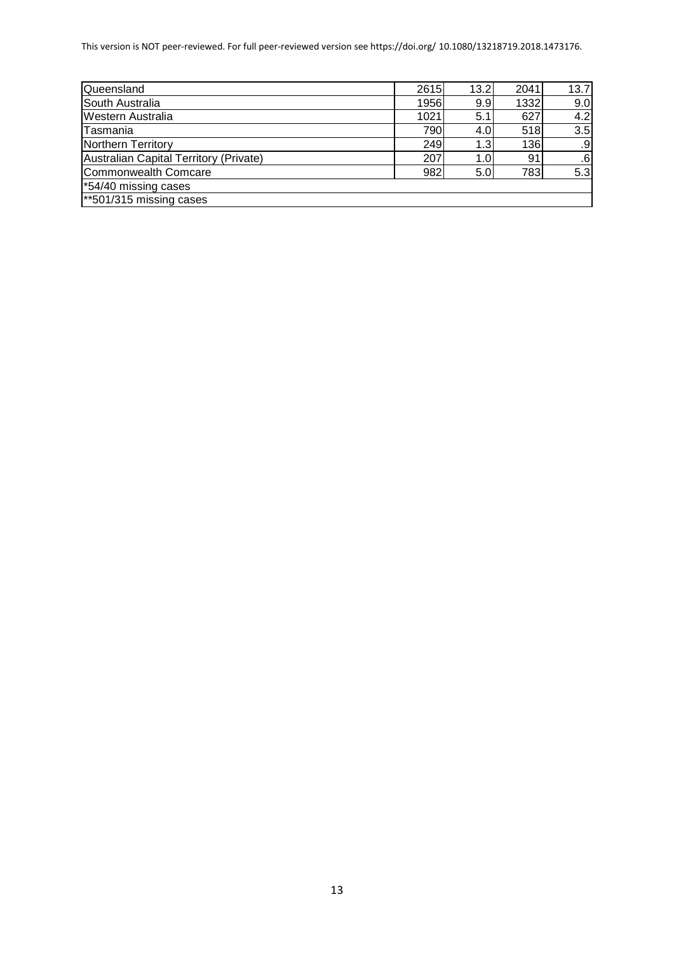This version is NOT peer-reviewed. For full peer-reviewed version see https://doi.org/ 10.1080/13218719.2018.1473176.

| Queensland                             | 2615 | 13.2             | 2041 | 13.7 |
|----------------------------------------|------|------------------|------|------|
| South Australia                        | 1956 | 9.9              | 1332 | 9.0  |
| <b>Western Australia</b>               | 1021 | 5.1              | 627  | 4.2  |
| Tasmania                               | 790  | 4.0              | 518  | 3.5  |
| Northern Territory                     | 249  | 1.3 <sub>1</sub> | 136  | .9   |
| Australian Capital Territory (Private) | 207  | 1.0              | 91   | .6   |
| Commonwealth Comcare                   | 982  | 5.0              | 783  | 5.3  |
| *54/40 missing cases                   |      |                  |      |      |
| $*501/315$ missing cases               |      |                  |      |      |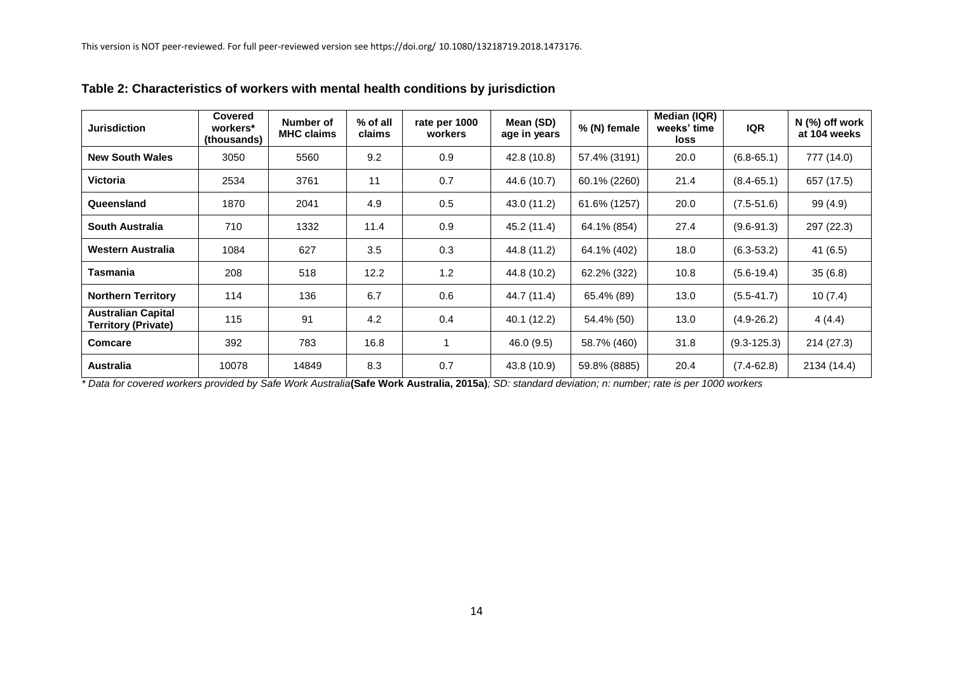| <b>Jurisdiction</b>                                     | Covered<br>workers*<br>(thousands) | Number of<br><b>MHC claims</b> | $%$ of all<br>claims | rate per 1000<br>workers | Mean (SD)<br>age in years | % (N) female | Median (IQR)<br>weeks' time<br>loss | <b>IQR</b>      | $N$ (%) off work<br>at 104 weeks |
|---------------------------------------------------------|------------------------------------|--------------------------------|----------------------|--------------------------|---------------------------|--------------|-------------------------------------|-----------------|----------------------------------|
| <b>New South Wales</b>                                  | 3050                               | 5560                           | 9.2                  | 0.9                      | 42.8 (10.8)               | 57.4% (3191) | 20.0                                | $(6.8 - 65.1)$  | 777 (14.0)                       |
| <b>Victoria</b>                                         | 2534                               | 3761                           | 11                   | 0.7                      | 44.6 (10.7)               | 60.1% (2260) | 21.4                                | $(8.4 - 65.1)$  | 657 (17.5)                       |
| Queensland                                              | 1870                               | 2041                           | 4.9                  | 0.5                      | 43.0 (11.2)               | 61.6% (1257) | 20.0                                | $(7.5 - 51.6)$  | 99 (4.9)                         |
| <b>South Australia</b>                                  | 710                                | 1332                           | 11.4                 | 0.9                      | 45.2 (11.4)               | 64.1% (854)  | 27.4                                | $(9.6 - 91.3)$  | 297 (22.3)                       |
| Western Australia                                       | 1084                               | 627                            | 3.5                  | 0.3                      | 44.8 (11.2)               | 64.1% (402)  | 18.0                                | $(6.3 - 53.2)$  | 41(6.5)                          |
| Tasmania                                                | 208                                | 518                            | 12.2                 | 1.2                      | 44.8 (10.2)               | 62.2% (322)  | 10.8                                | $(5.6-19.4)$    | 35(6.8)                          |
| <b>Northern Territory</b>                               | 114                                | 136                            | 6.7                  | 0.6                      | 44.7 (11.4)               | 65.4% (89)   | 13.0                                | $(5.5 - 41.7)$  | 10(7.4)                          |
| <b>Australian Capital</b><br><b>Territory (Private)</b> | 115                                | 91                             | 4.2                  | 0.4                      | 40.1(12.2)                | 54.4% (50)   | 13.0                                | $(4.9 - 26.2)$  | 4(4.4)                           |
| <b>Comcare</b>                                          | 392                                | 783                            | 16.8                 |                          | 46.0 (9.5)                | 58.7% (460)  | 31.8                                | $(9.3 - 125.3)$ | 214 (27.3)                       |
| <b>Australia</b>                                        | 10078                              | 14849                          | 8.3                  | 0.7                      | 43.8 (10.9)               | 59.8% (8885) | 20.4                                | $(7.4 - 62.8)$  | 2134 (14.4)                      |

# **Table 2: Characteristics of workers with mental health conditions by jurisdiction**

*\* Data for covered workers provided by Safe Work Australia***(Safe Work Australia, 2015a)***; SD: standard deviation; n: number; rate is per 1000 workers*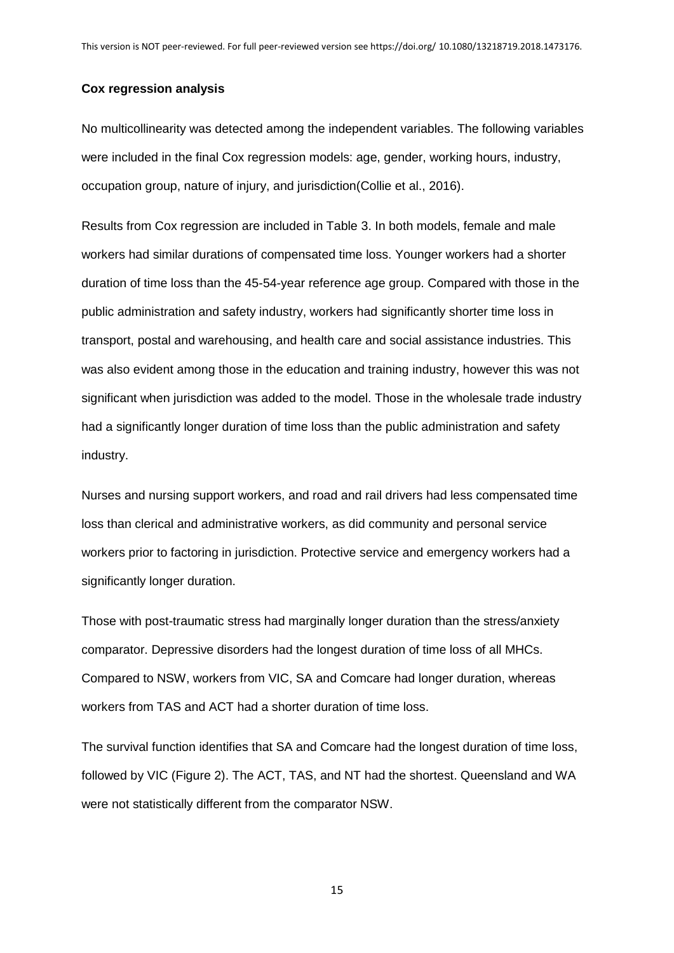#### **Cox regression analysis**

No multicollinearity was detected among the independent variables. The following variables were included in the final Cox regression models: age, gender, working hours, industry, occupation group, nature of injury, and jurisdiction(Collie et al., 2016).

Results from Cox regression are included in Table 3. In both models, female and male workers had similar durations of compensated time loss. Younger workers had a shorter duration of time loss than the 45-54-year reference age group. Compared with those in the public administration and safety industry, workers had significantly shorter time loss in transport, postal and warehousing, and health care and social assistance industries. This was also evident among those in the education and training industry, however this was not significant when jurisdiction was added to the model. Those in the wholesale trade industry had a significantly longer duration of time loss than the public administration and safety industry.

Nurses and nursing support workers, and road and rail drivers had less compensated time loss than clerical and administrative workers, as did community and personal service workers prior to factoring in jurisdiction. Protective service and emergency workers had a significantly longer duration.

Those with post-traumatic stress had marginally longer duration than the stress/anxiety comparator. Depressive disorders had the longest duration of time loss of all MHCs. Compared to NSW, workers from VIC, SA and Comcare had longer duration, whereas workers from TAS and ACT had a shorter duration of time loss.

The survival function identifies that SA and Comcare had the longest duration of time loss, followed by VIC (Figure 2). The ACT, TAS, and NT had the shortest. Queensland and WA were not statistically different from the comparator NSW.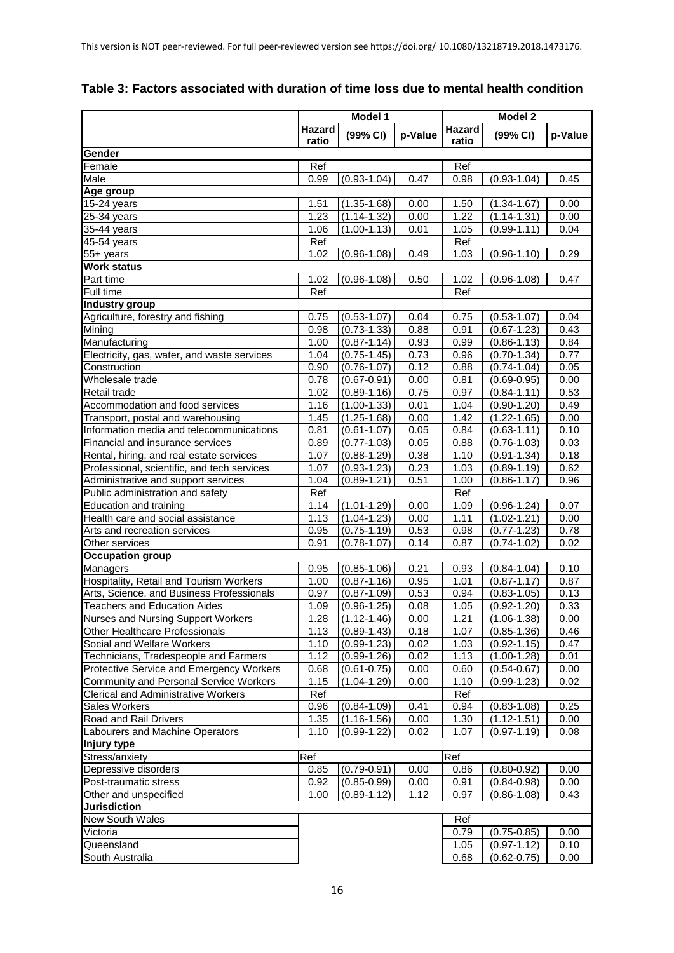|                                               | Model 1          |                 |         | <b>Model 2</b> |                 |         |
|-----------------------------------------------|------------------|-----------------|---------|----------------|-----------------|---------|
|                                               | Hazard           | (99% CI)        |         | <b>Hazard</b>  | (99% CI)        | p-Value |
|                                               | ratio            |                 | p-Value | ratio          |                 |         |
| Gender                                        |                  |                 |         |                |                 |         |
| Female                                        | Ref              |                 |         | Ref            |                 |         |
| Male                                          | 0.99             | $(0.93 - 1.04)$ | 0.47    | 0.98           | $(0.93 - 1.04)$ | 0.45    |
| Age group                                     |                  |                 |         |                |                 |         |
| $15-24$ years                                 | 1.51             | $(1.35 - 1.68)$ | 0.00    | 1.50           | $(1.34 - 1.67)$ | 0.00    |
| 25-34 years                                   | 1.23             | $(1.14 - 1.32)$ | 0.00    | 1.22           | $(1.14 - 1.31)$ | 0.00    |
| 35-44 years                                   | 1.06             | $(1.00 - 1.13)$ | 0.01    | 1.05           | $(0.99 - 1.11)$ | 0.04    |
| 45-54 years                                   | Ref              |                 |         | Ref            |                 |         |
| 55+ years                                     | 1.02             | $(0.96 - 1.08)$ | 0.49    | 1.03           | $(0.96 - 1.10)$ | 0.29    |
| <b>Work status</b>                            |                  |                 |         |                |                 |         |
| Part time                                     | 1.02             | $(0.96 - 1.08)$ | 0.50    | 1.02           | $(0.96 - 1.08)$ | 0.47    |
| Full time                                     | Ref              |                 |         | Ref            |                 |         |
| <b>Industry group</b>                         |                  |                 |         |                |                 |         |
| Agriculture, forestry and fishing             | 0.75             | $(0.53 - 1.07)$ | 0.04    | 0.75           | $(0.53 - 1.07)$ | 0.04    |
| Mining                                        | 0.98             | $(0.73 - 1.33)$ | 0.88    | 0.91           | $(0.67 - 1.23)$ | 0.43    |
| Manufacturing                                 | 1.00             | $(0.87 - 1.14)$ | 0.93    | 0.99           | $(0.86 - 1.13)$ | 0.84    |
| Electricity, gas, water, and waste services   | 1.04             | $(0.75 - 1.45)$ | 0.73    | 0.96           | $(0.70 - 1.34)$ | 0.77    |
| Construction                                  | 0.90             | $(0.76 - 1.07)$ | 0.12    | 0.88           | $(0.74 - 1.04)$ | 0.05    |
| Wholesale trade                               | 0.78             | $(0.67 - 0.91)$ | 0.00    | 0.81           | $(0.69 - 0.95)$ | 0.00    |
| Retail trade                                  | 1.02             | $(0.89 - 1.16)$ | 0.75    | 0.97           | $(0.84 - 1.11)$ | 0.53    |
| Accommodation and food services               | 1.16             | $(1.00 - 1.33)$ | 0.01    | 1.04           | $(0.90 - 1.20)$ | 0.49    |
| Transport, postal and warehousing             | 1.45             | $(1.25 - 1.68)$ | 0.00    | 1.42           | $(1.22 - 1.65)$ | 0.00    |
| Information media and telecommunications      | 0.81             | $(0.61 - 1.07)$ | 0.05    | 0.84           | $(0.63 - 1.11)$ | 0.10    |
| Financial and insurance services              | 0.89             | $(0.77 - 1.03)$ | 0.05    | 0.88           | $(0.76 - 1.03)$ | 0.03    |
| Rental, hiring, and real estate services      | 1.07             | $(0.88 - 1.29)$ | 0.38    | 1.10           | $(0.91 - 1.34)$ | 0.18    |
| Professional, scientific, and tech services   | 1.07             | $(0.93 - 1.23)$ | 0.23    | 1.03           | $(0.89 - 1.19)$ | 0.62    |
| Administrative and support services           | 1.04             | $(0.89 - 1.21)$ | 0.51    | 1.00           | $(0.86 - 1.17)$ | 0.96    |
| Public administration and safety              | Ref              |                 |         | Ref            |                 |         |
| Education and training                        | 1.14             | $(1.01 - 1.29)$ | 0.00    | 1.09           | $(0.96 - 1.24)$ | 0.07    |
| Health care and social assistance             | 1.13             | $(1.04 - 1.23)$ | 0.00    | 1.11           | $(1.02 - 1.21)$ | 0.00    |
| Arts and recreation services                  | 0.95             | $(0.75 - 1.19)$ | 0.53    | 0.98           | $(0.77 - 1.23)$ | 0.78    |
| Other services                                | 0.91             | $(0.78 - 1.07)$ | 0.14    | 0.87           | $(0.74 - 1.02)$ | 0.02    |
| <b>Occupation group</b>                       |                  |                 |         |                |                 |         |
| Managers                                      | 0.95             | $(0.85 - 1.06)$ | 0.21    | 0.93           | $(0.84 - 1.04)$ | 0.10    |
| Hospitality, Retail and Tourism Workers       | 1.00             | $(0.87 - 1.16)$ | 0.95    | 1.01           | $(0.87 - 1.17)$ | 0.87    |
| Arts, Science, and Business Professionals     | 0.97             | $(0.87 - 1.09)$ | 0.53    | 0.94           | $(0.83 - 1.05)$ | 0.13    |
| <b>Teachers and Education Aides</b>           | 1.09             | $(0.96 - 1.25)$ | 0.08    | 1.05           | $(0.92 - 1.20)$ | 0.33    |
| <b>Nurses and Nursing Support Workers</b>     | 1.28             | $(1.12 - 1.46)$ | 0.00    | 1.21           | $(1.06 - 1.38)$ | 0.00    |
| <b>Other Healthcare Professionals</b>         | 1.13             | $(0.89 - 1.43)$ | 0.18    | 1.07           | $(0.85 - 1.36)$ | 0.46    |
| Social and Welfare Workers                    | 1.10             | $(0.99 - 1.23)$ | 0.02    | 1.03           | $(0.92 - 1.15)$ | 0.47    |
| Technicians, Tradespeople and Farmers         | 1.12             | $(0.99 - 1.26)$ | 0.02    | 1.13           | $(1.00-1.28)$   | 0.01    |
| Protective Service and Emergency Workers      | 0.68             | $(0.61 - 0.75)$ | 0.00    | 0.60           | $(0.54 - 0.67)$ | 0.00    |
| <b>Community and Personal Service Workers</b> | 1.15             | $(1.04 - 1.29)$ | 0.00    | 1.10           | $(0.99 - 1.23)$ | 0.02    |
| Clerical and Administrative Workers           | Ref              |                 |         | Ref            |                 |         |
| Sales Workers                                 | 0.96             | $(0.84 - 1.09)$ | 0.41    | 0.94           | $(0.83 - 1.08)$ | 0.25    |
| Road and Rail Drivers                         | 1.35             | $(1.16 - 1.56)$ | 0.00    | 1.30           | $(1.12 - 1.51)$ | 0.00    |
| Labourers and Machine Operators               | 1.10             | $(0.99 - 1.22)$ | 0.02    | 1.07           | $(0.97 - 1.19)$ | 0.08    |
| Injury type                                   |                  |                 |         |                |                 |         |
| Stress/anxiety                                | $\overline{Ref}$ |                 |         | Ref            |                 |         |
| Depressive disorders                          | 0.85             | $(0.79 - 0.91)$ | 0.00    | 0.86           | $(0.80 - 0.92)$ | 0.00    |
| Post-traumatic stress                         | 0.92             | $(0.85 - 0.99)$ | 0.00    | 0.91           | $(0.84 - 0.98)$ | 0.00    |
| Other and unspecified                         | 1.00             | $(0.89 - 1.12)$ | 1.12    | 0.97           | $(0.86 - 1.08)$ | 0.43    |
| <b>Jurisdiction</b>                           |                  |                 |         |                |                 |         |
| New South Wales                               |                  |                 |         | Ref            |                 |         |
| Victoria                                      |                  |                 |         | 0.79           | $(0.75 - 0.85)$ | 0.00    |
| Queensland                                    |                  |                 |         | 1.05           | $(0.97 - 1.12)$ | 0.10    |
| South Australia                               |                  |                 |         | 0.68           | $(0.62 - 0.75)$ | 0.00    |

## **Table 3: Factors associated with duration of time loss due to mental health condition**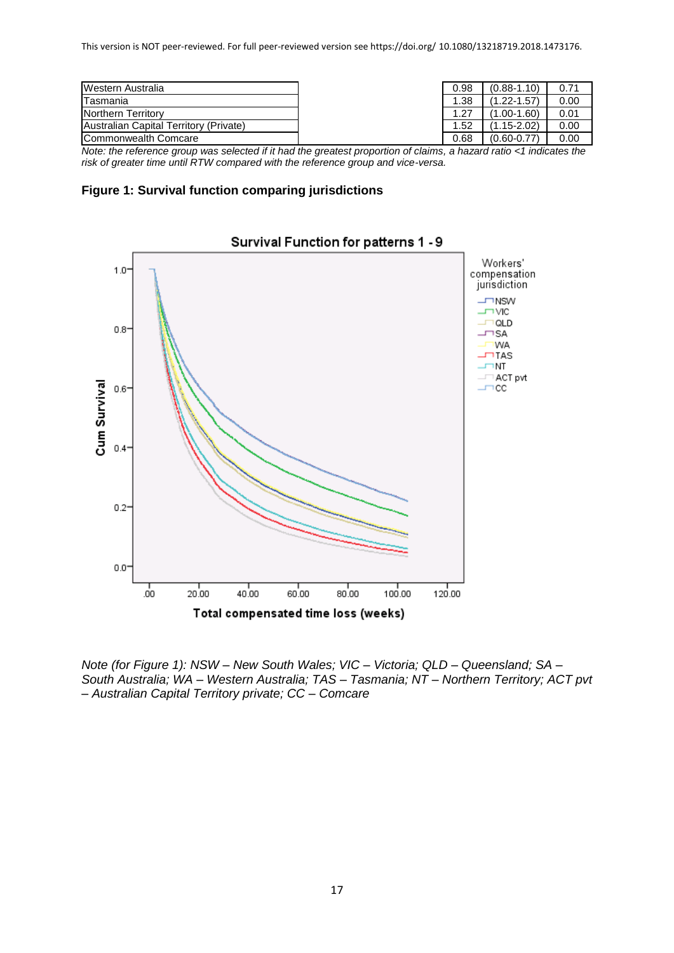| Western Australia                      | 0.98 | $(0.88 - 1.10)$  | 0.71 |
|----------------------------------------|------|------------------|------|
| Tasmania                               | 1.38 | $(1.22 - 1.57)$  | 0.00 |
| Northern Territory                     | 1.27 | $(1.00-1.60)$    | 0.01 |
| Australian Capital Territory (Private) | 1.52 | . 15-2.02)<br>71 | 0.00 |
| Commonwealth Comcare                   | 0.68 | $(0.60 - 0.77)$  | 0.00 |

*Note: the reference group was selected if it had the greatest proportion of claims, a hazard ratio <1 indicates the risk of greater time until RTW compared with the reference group and vice-versa.*





## Survival Function for patterns 1 - 9

*Note (for Figure 1): NSW – New South Wales; VIC – Victoria; QLD – Queensland; SA – South Australia; WA – Western Australia; TAS – Tasmania; NT – Northern Territory; ACT pvt – Australian Capital Territory private; CC – Comcare*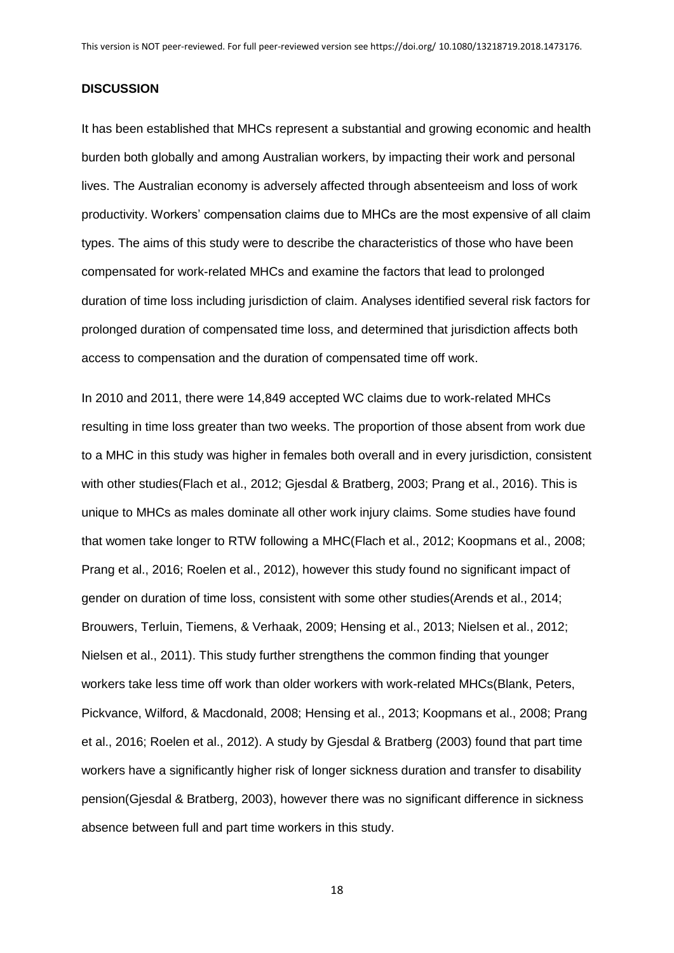#### **DISCUSSION**

It has been established that MHCs represent a substantial and growing economic and health burden both globally and among Australian workers, by impacting their work and personal lives. The Australian economy is adversely affected through absenteeism and loss of work productivity. Workers' compensation claims due to MHCs are the most expensive of all claim types. The aims of this study were to describe the characteristics of those who have been compensated for work-related MHCs and examine the factors that lead to prolonged duration of time loss including jurisdiction of claim. Analyses identified several risk factors for prolonged duration of compensated time loss, and determined that jurisdiction affects both access to compensation and the duration of compensated time off work.

In 2010 and 2011, there were 14,849 accepted WC claims due to work-related MHCs resulting in time loss greater than two weeks. The proportion of those absent from work due to a MHC in this study was higher in females both overall and in every jurisdiction, consistent with other studies(Flach et al., 2012; Gjesdal & Bratberg, 2003; Prang et al., 2016). This is unique to MHCs as males dominate all other work injury claims. Some studies have found that women take longer to RTW following a MHC(Flach et al., 2012; Koopmans et al., 2008; Prang et al., 2016; Roelen et al., 2012), however this study found no significant impact of gender on duration of time loss, consistent with some other studies(Arends et al., 2014; Brouwers, Terluin, Tiemens, & Verhaak, 2009; Hensing et al., 2013; Nielsen et al., 2012; Nielsen et al., 2011). This study further strengthens the common finding that younger workers take less time off work than older workers with work-related MHCs(Blank, Peters, Pickvance, Wilford, & Macdonald, 2008; Hensing et al., 2013; Koopmans et al., 2008; Prang et al., 2016; Roelen et al., 2012). A study by Gjesdal & Bratberg (2003) found that part time workers have a significantly higher risk of longer sickness duration and transfer to disability pension(Gjesdal & Bratberg, 2003), however there was no significant difference in sickness absence between full and part time workers in this study.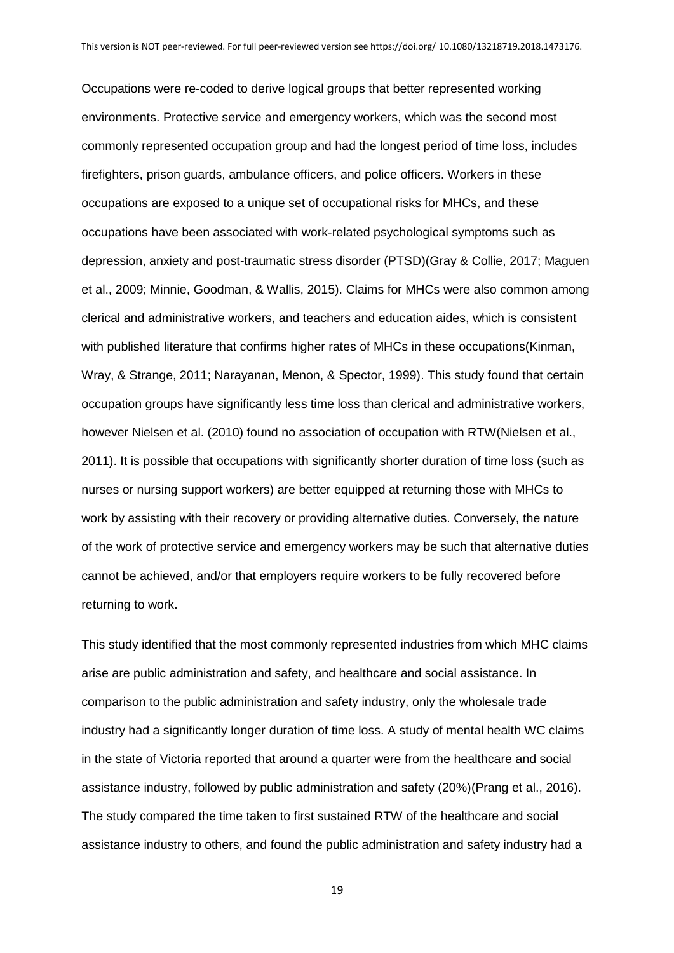Occupations were re-coded to derive logical groups that better represented working environments. Protective service and emergency workers, which was the second most commonly represented occupation group and had the longest period of time loss, includes firefighters, prison guards, ambulance officers, and police officers. Workers in these occupations are exposed to a unique set of occupational risks for MHCs, and these occupations have been associated with work-related psychological symptoms such as depression, anxiety and post-traumatic stress disorder (PTSD)(Gray & Collie, 2017; Maguen et al., 2009; Minnie, Goodman, & Wallis, 2015). Claims for MHCs were also common among clerical and administrative workers, and teachers and education aides, which is consistent with published literature that confirms higher rates of MHCs in these occupations(Kinman, Wray, & Strange, 2011; Narayanan, Menon, & Spector, 1999). This study found that certain occupation groups have significantly less time loss than clerical and administrative workers, however Nielsen et al. (2010) found no association of occupation with RTW(Nielsen et al., 2011). It is possible that occupations with significantly shorter duration of time loss (such as nurses or nursing support workers) are better equipped at returning those with MHCs to work by assisting with their recovery or providing alternative duties. Conversely, the nature of the work of protective service and emergency workers may be such that alternative duties cannot be achieved, and/or that employers require workers to be fully recovered before returning to work.

This study identified that the most commonly represented industries from which MHC claims arise are public administration and safety, and healthcare and social assistance. In comparison to the public administration and safety industry, only the wholesale trade industry had a significantly longer duration of time loss. A study of mental health WC claims in the state of Victoria reported that around a quarter were from the healthcare and social assistance industry, followed by public administration and safety (20%)(Prang et al., 2016). The study compared the time taken to first sustained RTW of the healthcare and social assistance industry to others, and found the public administration and safety industry had a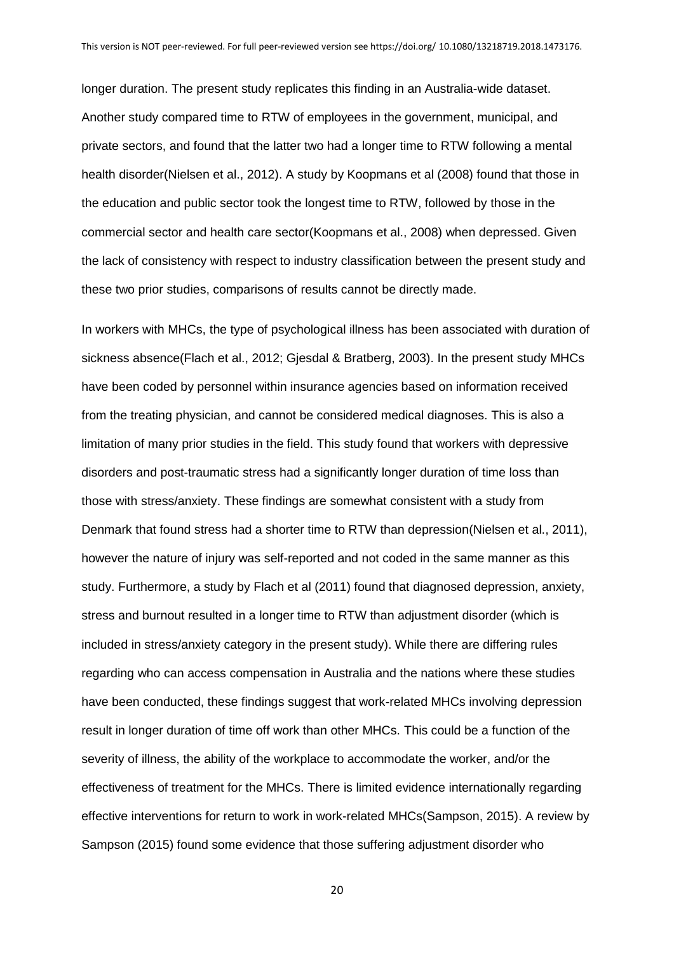longer duration. The present study replicates this finding in an Australia-wide dataset. Another study compared time to RTW of employees in the government, municipal, and private sectors, and found that the latter two had a longer time to RTW following a mental health disorder(Nielsen et al., 2012). A study by Koopmans et al (2008) found that those in the education and public sector took the longest time to RTW, followed by those in the commercial sector and health care sector(Koopmans et al., 2008) when depressed. Given the lack of consistency with respect to industry classification between the present study and these two prior studies, comparisons of results cannot be directly made.

In workers with MHCs, the type of psychological illness has been associated with duration of sickness absence(Flach et al., 2012; Gjesdal & Bratberg, 2003). In the present study MHCs have been coded by personnel within insurance agencies based on information received from the treating physician, and cannot be considered medical diagnoses. This is also a limitation of many prior studies in the field. This study found that workers with depressive disorders and post-traumatic stress had a significantly longer duration of time loss than those with stress/anxiety. These findings are somewhat consistent with a study from Denmark that found stress had a shorter time to RTW than depression(Nielsen et al., 2011), however the nature of injury was self-reported and not coded in the same manner as this study. Furthermore, a study by Flach et al (2011) found that diagnosed depression, anxiety, stress and burnout resulted in a longer time to RTW than adjustment disorder (which is included in stress/anxiety category in the present study). While there are differing rules regarding who can access compensation in Australia and the nations where these studies have been conducted, these findings suggest that work-related MHCs involving depression result in longer duration of time off work than other MHCs. This could be a function of the severity of illness, the ability of the workplace to accommodate the worker, and/or the effectiveness of treatment for the MHCs. There is limited evidence internationally regarding effective interventions for return to work in work-related MHCs(Sampson, 2015). A review by Sampson (2015) found some evidence that those suffering adjustment disorder who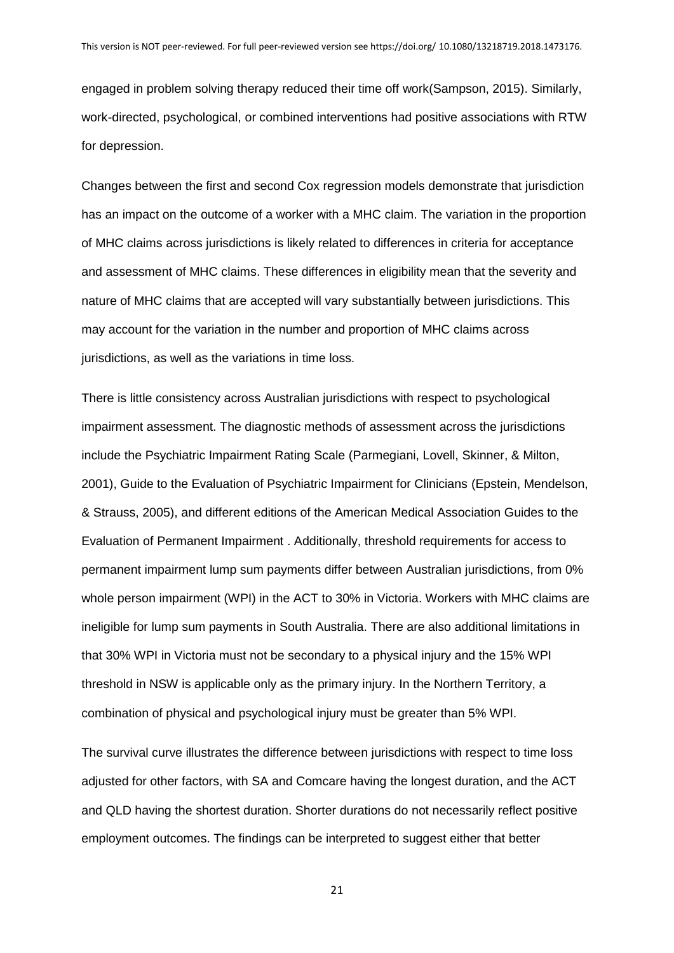engaged in problem solving therapy reduced their time off work(Sampson, 2015). Similarly, work-directed, psychological, or combined interventions had positive associations with RTW for depression.

Changes between the first and second Cox regression models demonstrate that jurisdiction has an impact on the outcome of a worker with a MHC claim. The variation in the proportion of MHC claims across jurisdictions is likely related to differences in criteria for acceptance and assessment of MHC claims. These differences in eligibility mean that the severity and nature of MHC claims that are accepted will vary substantially between jurisdictions. This may account for the variation in the number and proportion of MHC claims across jurisdictions, as well as the variations in time loss.

There is little consistency across Australian jurisdictions with respect to psychological impairment assessment. The diagnostic methods of assessment across the jurisdictions include the Psychiatric Impairment Rating Scale (Parmegiani, Lovell, Skinner, & Milton, 2001), Guide to the Evaluation of Psychiatric Impairment for Clinicians (Epstein, Mendelson, & Strauss, 2005), and different editions of the American Medical Association Guides to the Evaluation of Permanent Impairment . Additionally, threshold requirements for access to permanent impairment lump sum payments differ between Australian jurisdictions, from 0% whole person impairment (WPI) in the ACT to 30% in Victoria. Workers with MHC claims are ineligible for lump sum payments in South Australia. There are also additional limitations in that 30% WPI in Victoria must not be secondary to a physical injury and the 15% WPI threshold in NSW is applicable only as the primary injury. In the Northern Territory, a combination of physical and psychological injury must be greater than 5% WPI.

The survival curve illustrates the difference between jurisdictions with respect to time loss adjusted for other factors, with SA and Comcare having the longest duration, and the ACT and QLD having the shortest duration. Shorter durations do not necessarily reflect positive employment outcomes. The findings can be interpreted to suggest either that better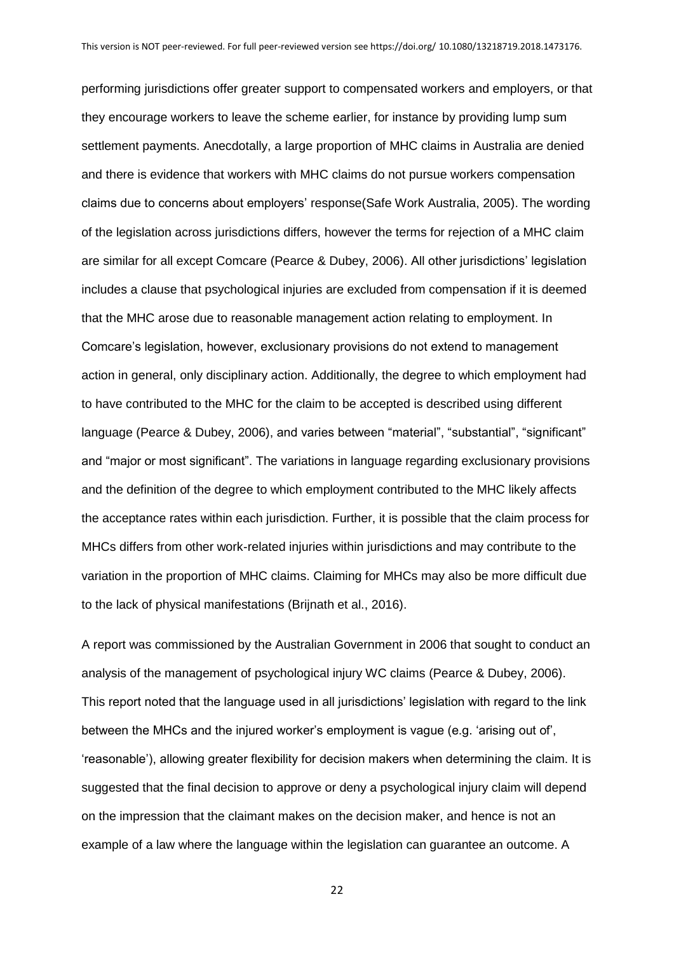performing jurisdictions offer greater support to compensated workers and employers, or that they encourage workers to leave the scheme earlier, for instance by providing lump sum settlement payments. Anecdotally, a large proportion of MHC claims in Australia are denied and there is evidence that workers with MHC claims do not pursue workers compensation claims due to concerns about employers' response(Safe Work Australia, 2005). The wording of the legislation across jurisdictions differs, however the terms for rejection of a MHC claim are similar for all except Comcare (Pearce & Dubey, 2006). All other jurisdictions' legislation includes a clause that psychological injuries are excluded from compensation if it is deemed that the MHC arose due to reasonable management action relating to employment. In Comcare's legislation, however, exclusionary provisions do not extend to management action in general, only disciplinary action. Additionally, the degree to which employment had to have contributed to the MHC for the claim to be accepted is described using different language (Pearce & Dubey, 2006), and varies between "material", "substantial", "significant" and "major or most significant". The variations in language regarding exclusionary provisions and the definition of the degree to which employment contributed to the MHC likely affects the acceptance rates within each jurisdiction. Further, it is possible that the claim process for MHCs differs from other work-related injuries within jurisdictions and may contribute to the variation in the proportion of MHC claims. Claiming for MHCs may also be more difficult due to the lack of physical manifestations (Brijnath et al., 2016).

A report was commissioned by the Australian Government in 2006 that sought to conduct an analysis of the management of psychological injury WC claims (Pearce & Dubey, 2006). This report noted that the language used in all jurisdictions' legislation with regard to the link between the MHCs and the injured worker's employment is vague (e.g. 'arising out of', 'reasonable'), allowing greater flexibility for decision makers when determining the claim. It is suggested that the final decision to approve or deny a psychological injury claim will depend on the impression that the claimant makes on the decision maker, and hence is not an example of a law where the language within the legislation can guarantee an outcome. A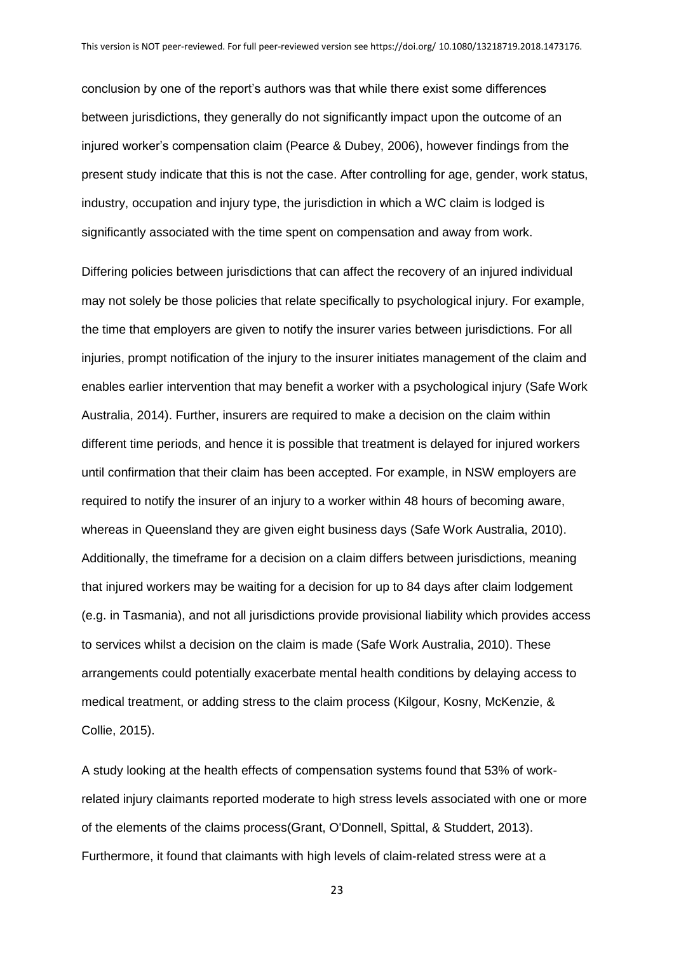conclusion by one of the report's authors was that while there exist some differences between jurisdictions, they generally do not significantly impact upon the outcome of an injured worker's compensation claim (Pearce & Dubey, 2006), however findings from the present study indicate that this is not the case. After controlling for age, gender, work status, industry, occupation and injury type, the jurisdiction in which a WC claim is lodged is significantly associated with the time spent on compensation and away from work.

Differing policies between jurisdictions that can affect the recovery of an injured individual may not solely be those policies that relate specifically to psychological injury. For example, the time that employers are given to notify the insurer varies between jurisdictions. For all injuries, prompt notification of the injury to the insurer initiates management of the claim and enables earlier intervention that may benefit a worker with a psychological injury (Safe Work Australia, 2014). Further, insurers are required to make a decision on the claim within different time periods, and hence it is possible that treatment is delayed for injured workers until confirmation that their claim has been accepted. For example, in NSW employers are required to notify the insurer of an injury to a worker within 48 hours of becoming aware, whereas in Queensland they are given eight business days (Safe Work Australia, 2010). Additionally, the timeframe for a decision on a claim differs between jurisdictions, meaning that injured workers may be waiting for a decision for up to 84 days after claim lodgement (e.g. in Tasmania), and not all jurisdictions provide provisional liability which provides access to services whilst a decision on the claim is made (Safe Work Australia, 2010). These arrangements could potentially exacerbate mental health conditions by delaying access to medical treatment, or adding stress to the claim process (Kilgour, Kosny, McKenzie, & Collie, 2015).

A study looking at the health effects of compensation systems found that 53% of workrelated injury claimants reported moderate to high stress levels associated with one or more of the elements of the claims process(Grant, O'Donnell, Spittal, & Studdert, 2013). Furthermore, it found that claimants with high levels of claim-related stress were at a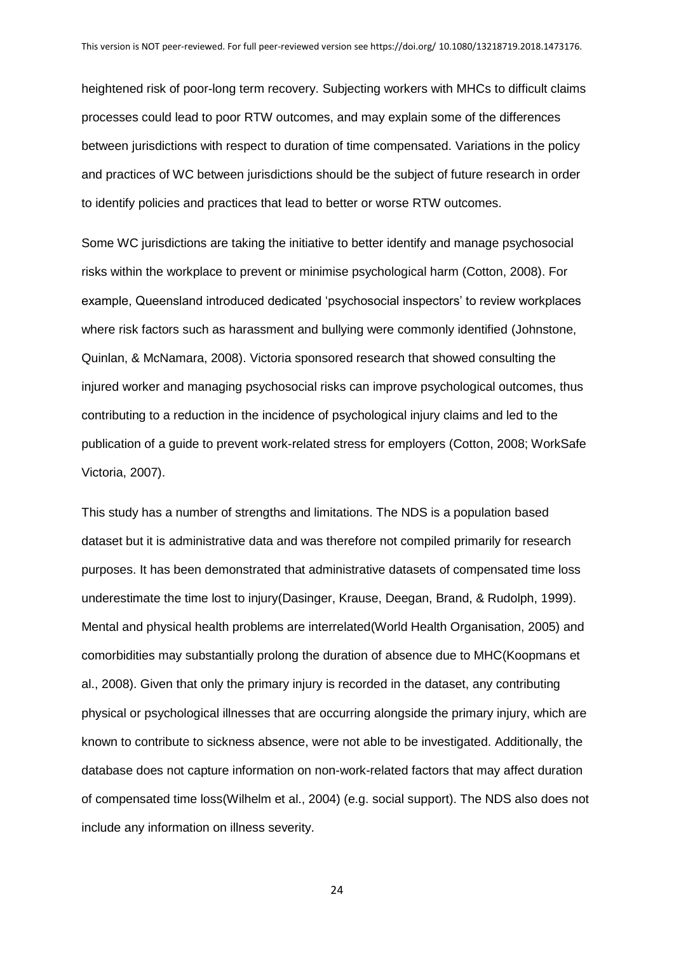heightened risk of poor-long term recovery. Subjecting workers with MHCs to difficult claims processes could lead to poor RTW outcomes, and may explain some of the differences between jurisdictions with respect to duration of time compensated. Variations in the policy and practices of WC between jurisdictions should be the subject of future research in order to identify policies and practices that lead to better or worse RTW outcomes.

Some WC jurisdictions are taking the initiative to better identify and manage psychosocial risks within the workplace to prevent or minimise psychological harm (Cotton, 2008). For example, Queensland introduced dedicated 'psychosocial inspectors' to review workplaces where risk factors such as harassment and bullying were commonly identified (Johnstone, Quinlan, & McNamara, 2008). Victoria sponsored research that showed consulting the injured worker and managing psychosocial risks can improve psychological outcomes, thus contributing to a reduction in the incidence of psychological injury claims and led to the publication of a guide to prevent work-related stress for employers (Cotton, 2008; WorkSafe Victoria, 2007).

This study has a number of strengths and limitations. The NDS is a population based dataset but it is administrative data and was therefore not compiled primarily for research purposes. It has been demonstrated that administrative datasets of compensated time loss underestimate the time lost to injury(Dasinger, Krause, Deegan, Brand, & Rudolph, 1999). Mental and physical health problems are interrelated(World Health Organisation, 2005) and comorbidities may substantially prolong the duration of absence due to MHC(Koopmans et al., 2008). Given that only the primary injury is recorded in the dataset, any contributing physical or psychological illnesses that are occurring alongside the primary injury, which are known to contribute to sickness absence, were not able to be investigated. Additionally, the database does not capture information on non-work-related factors that may affect duration of compensated time loss(Wilhelm et al., 2004) (e.g. social support). The NDS also does not include any information on illness severity.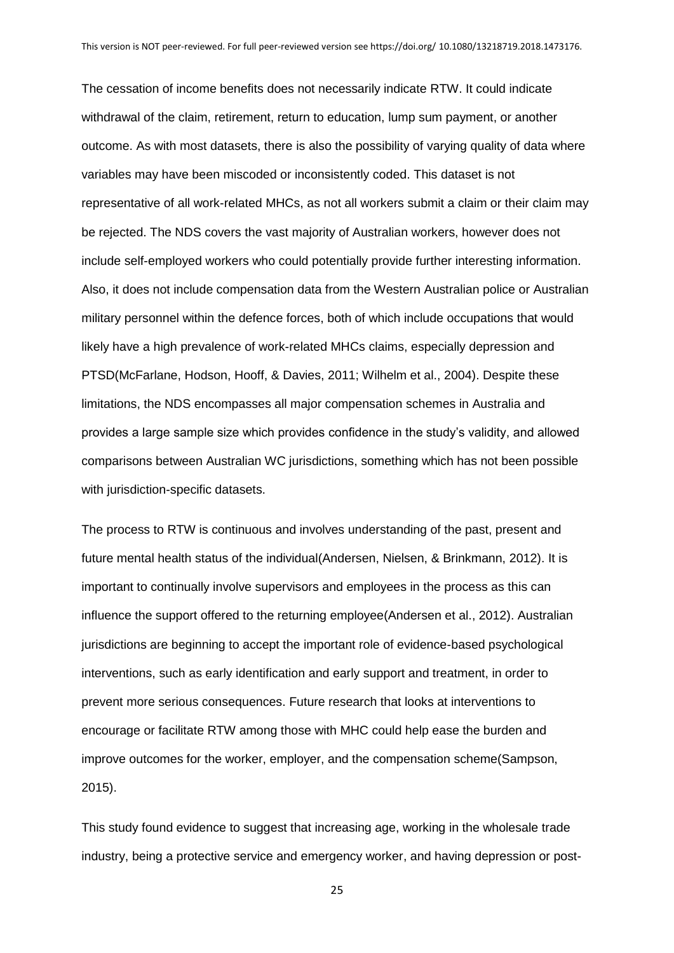The cessation of income benefits does not necessarily indicate RTW. It could indicate withdrawal of the claim, retirement, return to education, lump sum payment, or another outcome. As with most datasets, there is also the possibility of varying quality of data where variables may have been miscoded or inconsistently coded. This dataset is not representative of all work-related MHCs, as not all workers submit a claim or their claim may be rejected. The NDS covers the vast majority of Australian workers, however does not include self-employed workers who could potentially provide further interesting information. Also, it does not include compensation data from the Western Australian police or Australian military personnel within the defence forces, both of which include occupations that would likely have a high prevalence of work-related MHCs claims, especially depression and PTSD(McFarlane, Hodson, Hooff, & Davies, 2011; Wilhelm et al., 2004). Despite these limitations, the NDS encompasses all major compensation schemes in Australia and provides a large sample size which provides confidence in the study's validity, and allowed comparisons between Australian WC jurisdictions, something which has not been possible with jurisdiction-specific datasets.

The process to RTW is continuous and involves understanding of the past, present and future mental health status of the individual(Andersen, Nielsen, & Brinkmann, 2012). It is important to continually involve supervisors and employees in the process as this can influence the support offered to the returning employee(Andersen et al., 2012). Australian jurisdictions are beginning to accept the important role of evidence-based psychological interventions, such as early identification and early support and treatment, in order to prevent more serious consequences. Future research that looks at interventions to encourage or facilitate RTW among those with MHC could help ease the burden and improve outcomes for the worker, employer, and the compensation scheme(Sampson, 2015).

This study found evidence to suggest that increasing age, working in the wholesale trade industry, being a protective service and emergency worker, and having depression or post-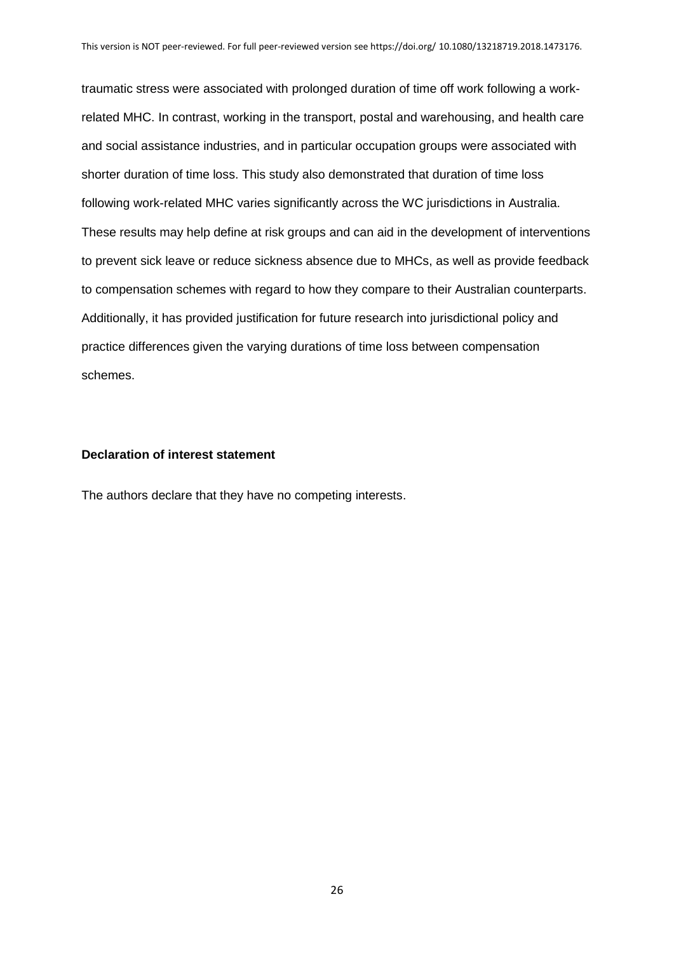traumatic stress were associated with prolonged duration of time off work following a workrelated MHC. In contrast, working in the transport, postal and warehousing, and health care and social assistance industries, and in particular occupation groups were associated with shorter duration of time loss. This study also demonstrated that duration of time loss following work-related MHC varies significantly across the WC jurisdictions in Australia. These results may help define at risk groups and can aid in the development of interventions to prevent sick leave or reduce sickness absence due to MHCs, as well as provide feedback to compensation schemes with regard to how they compare to their Australian counterparts. Additionally, it has provided justification for future research into jurisdictional policy and practice differences given the varying durations of time loss between compensation schemes.

#### **Declaration of interest statement**

The authors declare that they have no competing interests.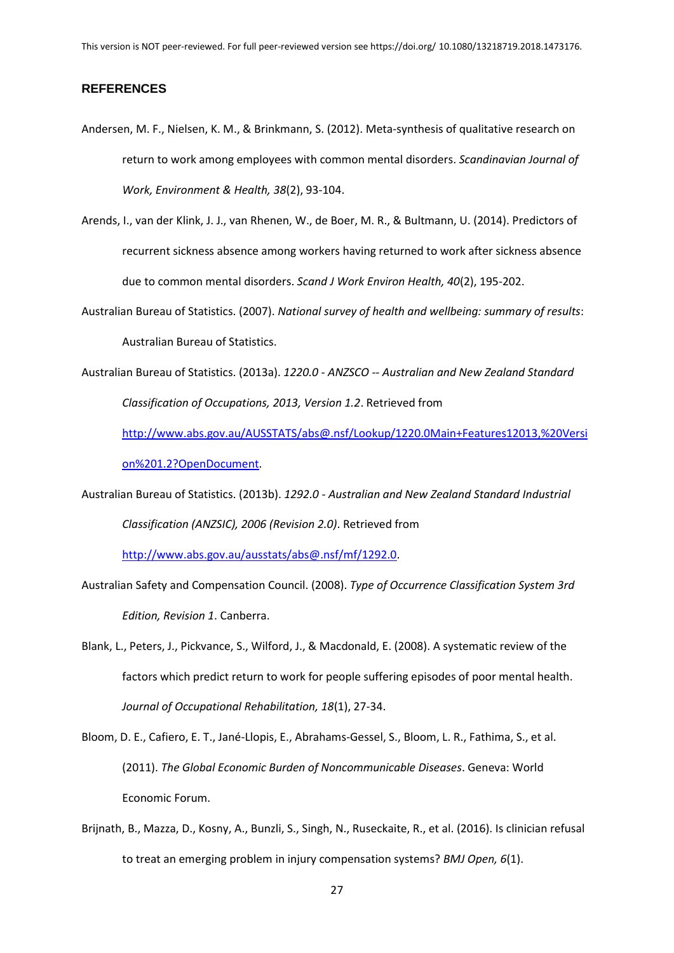#### **REFERENCES**

- Andersen, M. F., Nielsen, K. M., & Brinkmann, S. (2012). Meta-synthesis of qualitative research on return to work among employees with common mental disorders. *Scandinavian Journal of Work, Environment & Health, 38*(2), 93-104.
- Arends, I., van der Klink, J. J., van Rhenen, W., de Boer, M. R., & Bultmann, U. (2014). Predictors of recurrent sickness absence among workers having returned to work after sickness absence due to common mental disorders. *Scand J Work Environ Health, 40*(2), 195-202.
- Australian Bureau of Statistics. (2007). *National survey of health and wellbeing: summary of results*: Australian Bureau of Statistics.
- Australian Bureau of Statistics. (2013a). *1220.0 - ANZSCO -- Australian and New Zealand Standard Classification of Occupations, 2013, Version 1.2*. Retrieved from

[http://www.abs.gov.au/AUSSTATS/abs@.nsf/Lookup/1220.0Main+Features12013,%20Versi](http://www.abs.gov.au/AUSSTATS/abs@.nsf/Lookup/1220.0Main+Features12013,%20Version%201.2?OpenDocument) [on%201.2?OpenDocument.](http://www.abs.gov.au/AUSSTATS/abs@.nsf/Lookup/1220.0Main+Features12013,%20Version%201.2?OpenDocument)

Australian Bureau of Statistics. (2013b). *1292.0 - Australian and New Zealand Standard Industrial Classification (ANZSIC), 2006 (Revision 2.0)*. Retrieved from

[http://www.abs.gov.au/ausstats/abs@.nsf/mf/1292.0.](http://www.abs.gov.au/ausstats/abs@.nsf/mf/1292.0)

Australian Safety and Compensation Council. (2008). *Type of Occurrence Classification System 3rd Edition, Revision 1*. Canberra.

Blank, L., Peters, J., Pickvance, S., Wilford, J., & Macdonald, E. (2008). A systematic review of the factors which predict return to work for people suffering episodes of poor mental health. *Journal of Occupational Rehabilitation, 18*(1), 27-34.

Bloom, D. E., Cafiero, E. T., Jané-Llopis, E., Abrahams-Gessel, S., Bloom, L. R., Fathima, S., et al. (2011). *The Global Economic Burden of Noncommunicable Diseases*. Geneva: World Economic Forum.

Brijnath, B., Mazza, D., Kosny, A., Bunzli, S., Singh, N., Ruseckaite, R., et al. (2016). Is clinician refusal to treat an emerging problem in injury compensation systems? *BMJ Open, 6*(1).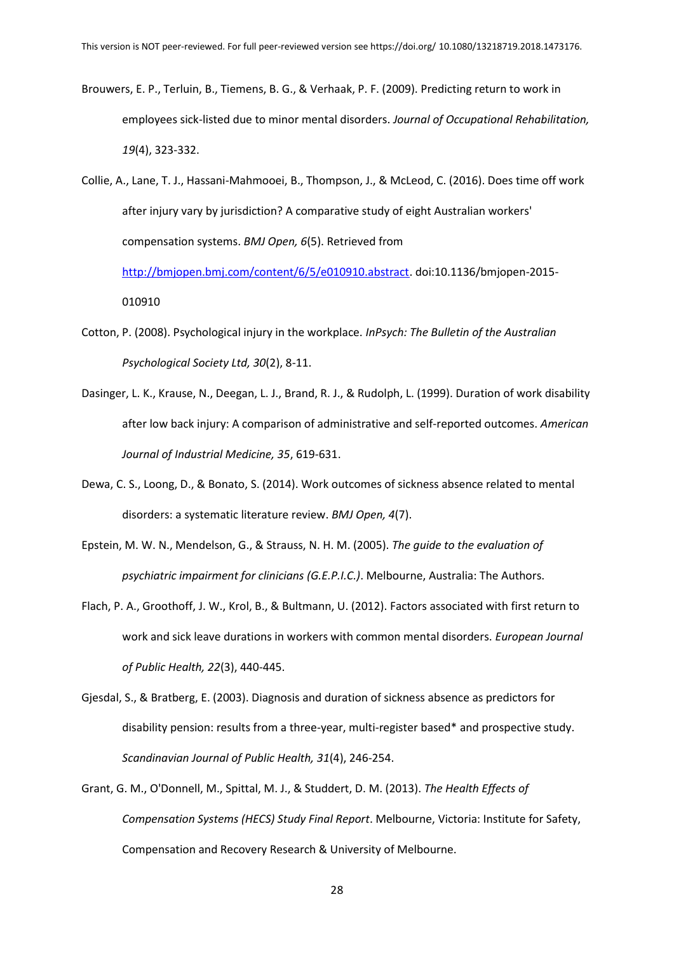- Brouwers, E. P., Terluin, B., Tiemens, B. G., & Verhaak, P. F. (2009). Predicting return to work in employees sick-listed due to minor mental disorders. *Journal of Occupational Rehabilitation, 19*(4), 323-332.
- Collie, A., Lane, T. J., Hassani-Mahmooei, B., Thompson, J., & McLeod, C. (2016). Does time off work after injury vary by jurisdiction? A comparative study of eight Australian workers' compensation systems. *BMJ Open, 6*(5). Retrieved from [http://bmjopen.bmj.com/content/6/5/e010910.abstract.](http://bmjopen.bmj.com/content/6/5/e010910.abstract) doi:10.1136/bmjopen-2015-

- Cotton, P. (2008). Psychological injury in the workplace. *InPsych: The Bulletin of the Australian Psychological Society Ltd, 30*(2), 8-11.
- Dasinger, L. K., Krause, N., Deegan, L. J., Brand, R. J., & Rudolph, L. (1999). Duration of work disability after low back injury: A comparison of administrative and self-reported outcomes. *American Journal of Industrial Medicine, 35*, 619-631.
- Dewa, C. S., Loong, D., & Bonato, S. (2014). Work outcomes of sickness absence related to mental disorders: a systematic literature review. *BMJ Open, 4*(7).
- Epstein, M. W. N., Mendelson, G., & Strauss, N. H. M. (2005). *The guide to the evaluation of psychiatric impairment for clinicians (G.E.P.I.C.)*. Melbourne, Australia: The Authors.
- Flach, P. A., Groothoff, J. W., Krol, B., & Bultmann, U. (2012). Factors associated with first return to work and sick leave durations in workers with common mental disorders. *European Journal of Public Health, 22*(3), 440-445.
- Gjesdal, S., & Bratberg, E. (2003). Diagnosis and duration of sickness absence as predictors for disability pension: results from a three-year, multi-register based\* and prospective study. *Scandinavian Journal of Public Health, 31*(4), 246-254.
- Grant, G. M., O'Donnell, M., Spittal, M. J., & Studdert, D. M. (2013). *The Health Effects of Compensation Systems (HECS) Study Final Report*. Melbourne, Victoria: Institute for Safety, Compensation and Recovery Research & University of Melbourne.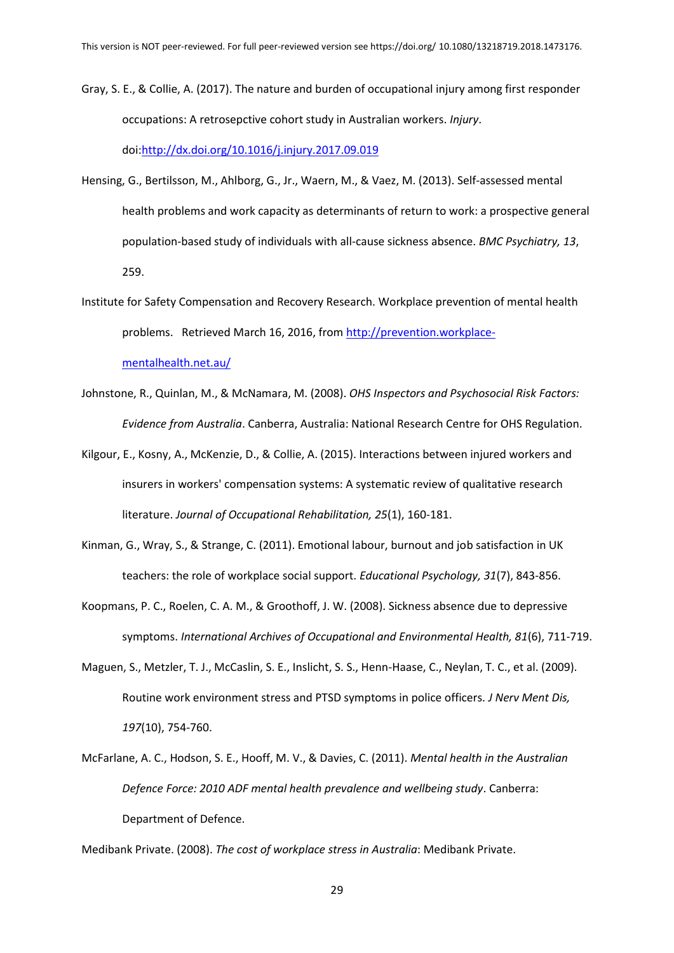Gray, S. E., & Collie, A. (2017). The nature and burden of occupational injury among first responder occupations: A retrosepctive cohort study in Australian workers. *Injury*.

doi[:http://dx.doi.org/10.1016/j.injury.2017.09.019](http://dx.doi.org/10.1016/j.injury.2017.09.019)

- Hensing, G., Bertilsson, M., Ahlborg, G., Jr., Waern, M., & Vaez, M. (2013). Self-assessed mental health problems and work capacity as determinants of return to work: a prospective general population-based study of individuals with all-cause sickness absence. *BMC Psychiatry, 13*, 259.
- Institute for Safety Compensation and Recovery Research. Workplace prevention of mental health problems. Retrieved March 16, 2016, from [http://prevention.workplace](http://prevention.workplace-mentalhealth.net.au/)[mentalhealth.net.au/](http://prevention.workplace-mentalhealth.net.au/)
- Johnstone, R., Quinlan, M., & McNamara, M. (2008). *OHS Inspectors and Psychosocial Risk Factors: Evidence from Australia*. Canberra, Australia: National Research Centre for OHS Regulation.
- Kilgour, E., Kosny, A., McKenzie, D., & Collie, A. (2015). Interactions between injured workers and insurers in workers' compensation systems: A systematic review of qualitative research literature. *Journal of Occupational Rehabilitation, 25*(1), 160-181.
- Kinman, G., Wray, S., & Strange, C. (2011). Emotional labour, burnout and job satisfaction in UK teachers: the role of workplace social support. *Educational Psychology, 31*(7), 843-856.
- Koopmans, P. C., Roelen, C. A. M., & Groothoff, J. W. (2008). Sickness absence due to depressive symptoms. *International Archives of Occupational and Environmental Health, 81*(6), 711-719.
- Maguen, S., Metzler, T. J., McCaslin, S. E., Inslicht, S. S., Henn-Haase, C., Neylan, T. C., et al. (2009). Routine work environment stress and PTSD symptoms in police officers. *J Nerv Ment Dis, 197*(10), 754-760.
- McFarlane, A. C., Hodson, S. E., Hooff, M. V., & Davies, C. (2011). *Mental health in the Australian Defence Force: 2010 ADF mental health prevalence and wellbeing study*. Canberra: Department of Defence.

Medibank Private. (2008). *The cost of workplace stress in Australia*: Medibank Private.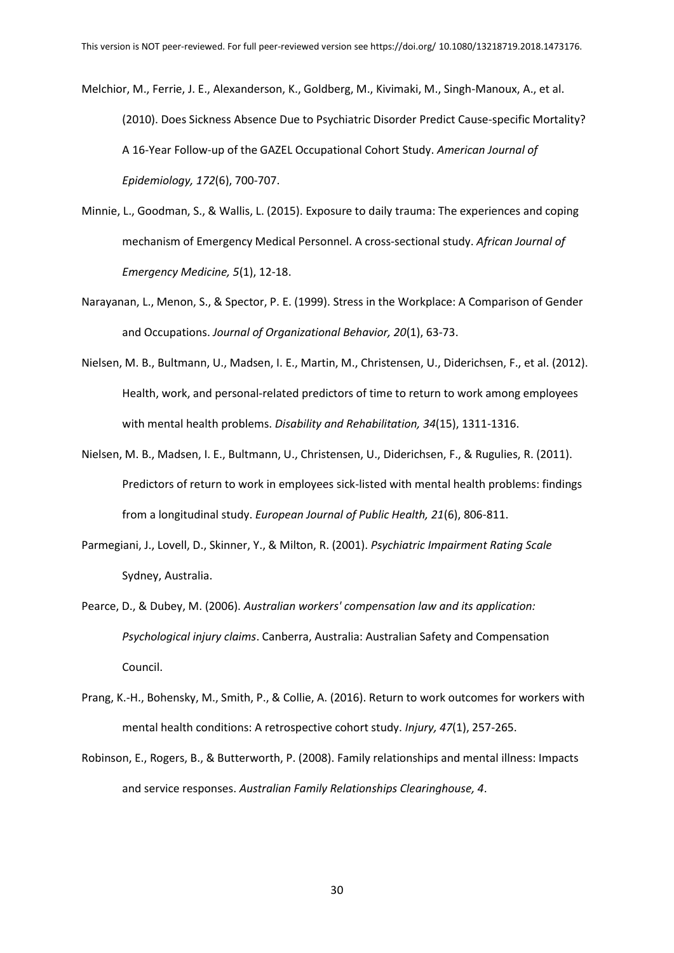Melchior, M., Ferrie, J. E., Alexanderson, K., Goldberg, M., Kivimaki, M., Singh-Manoux, A., et al. (2010). Does Sickness Absence Due to Psychiatric Disorder Predict Cause-specific Mortality? A 16-Year Follow-up of the GAZEL Occupational Cohort Study. *American Journal of Epidemiology, 172*(6), 700-707.

- Minnie, L., Goodman, S., & Wallis, L. (2015). Exposure to daily trauma: The experiences and coping mechanism of Emergency Medical Personnel. A cross-sectional study. *African Journal of Emergency Medicine, 5*(1), 12-18.
- Narayanan, L., Menon, S., & Spector, P. E. (1999). Stress in the Workplace: A Comparison of Gender and Occupations. *Journal of Organizational Behavior, 20*(1), 63-73.
- Nielsen, M. B., Bultmann, U., Madsen, I. E., Martin, M., Christensen, U., Diderichsen, F., et al. (2012). Health, work, and personal-related predictors of time to return to work among employees with mental health problems. *Disability and Rehabilitation, 34*(15), 1311-1316.
- Nielsen, M. B., Madsen, I. E., Bultmann, U., Christensen, U., Diderichsen, F., & Rugulies, R. (2011). Predictors of return to work in employees sick-listed with mental health problems: findings from a longitudinal study. *European Journal of Public Health, 21*(6), 806-811.
- Parmegiani, J., Lovell, D., Skinner, Y., & Milton, R. (2001). *Psychiatric Impairment Rating Scale*  Sydney, Australia.
- Pearce, D., & Dubey, M. (2006). *Australian workers' compensation law and its application: Psychological injury claims*. Canberra, Australia: Australian Safety and Compensation Council.
- Prang, K.-H., Bohensky, M., Smith, P., & Collie, A. (2016). Return to work outcomes for workers with mental health conditions: A retrospective cohort study. *Injury, 47*(1), 257-265.
- Robinson, E., Rogers, B., & Butterworth, P. (2008). Family relationships and mental illness: Impacts and service responses. *Australian Family Relationships Clearinghouse, 4*.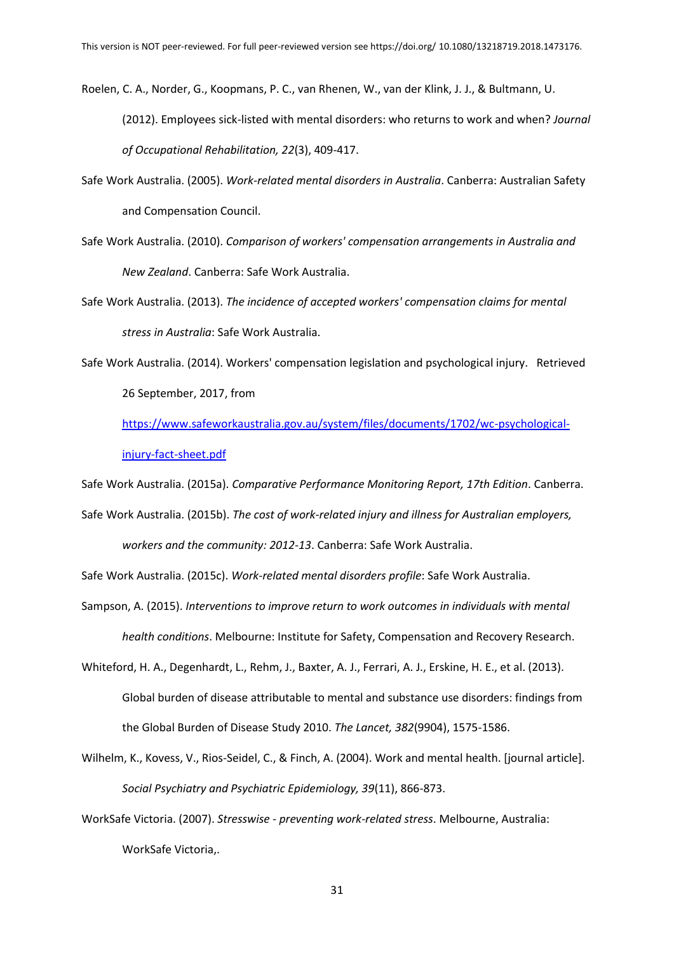Roelen, C. A., Norder, G., Koopmans, P. C., van Rhenen, W., van der Klink, J. J., & Bultmann, U.

(2012). Employees sick-listed with mental disorders: who returns to work and when? *Journal of Occupational Rehabilitation, 22*(3), 409-417.

- Safe Work Australia. (2005). *Work-related mental disorders in Australia*. Canberra: Australian Safety and Compensation Council.
- Safe Work Australia. (2010). *Comparison of workers' compensation arrangements in Australia and New Zealand*. Canberra: Safe Work Australia.
- Safe Work Australia. (2013). *The incidence of accepted workers' compensation claims for mental stress in Australia*: Safe Work Australia.
- Safe Work Australia. (2014). Workers' compensation legislation and psychological injury. Retrieved 26 September, 2017, from

[https://www.safeworkaustralia.gov.au/system/files/documents/1702/wc-psychological](https://www.safeworkaustralia.gov.au/system/files/documents/1702/wc-psychological-injury-fact-sheet.pdf)[injury-fact-sheet.pdf](https://www.safeworkaustralia.gov.au/system/files/documents/1702/wc-psychological-injury-fact-sheet.pdf)

Safe Work Australia. (2015a). *Comparative Performance Monitoring Report, 17th Edition*. Canberra.

Safe Work Australia. (2015b). *The cost of work-related injury and illness for Australian employers, workers and the community: 2012-13*. Canberra: Safe Work Australia.

Safe Work Australia. (2015c). *Work-related mental disorders profile*: Safe Work Australia.

- Sampson, A. (2015). *Interventions to improve return to work outcomes in individuals with mental health conditions*. Melbourne: Institute for Safety, Compensation and Recovery Research.
- Whiteford, H. A., Degenhardt, L., Rehm, J., Baxter, A. J., Ferrari, A. J., Erskine, H. E., et al. (2013). Global burden of disease attributable to mental and substance use disorders: findings from the Global Burden of Disease Study 2010. *The Lancet, 382*(9904), 1575-1586.
- Wilhelm, K., Kovess, V., Rios-Seidel, C., & Finch, A. (2004). Work and mental health. [journal article]. *Social Psychiatry and Psychiatric Epidemiology, 39*(11), 866-873.
- WorkSafe Victoria. (2007). *Stresswise - preventing work-related stress*. Melbourne, Australia: WorkSafe Victoria,.